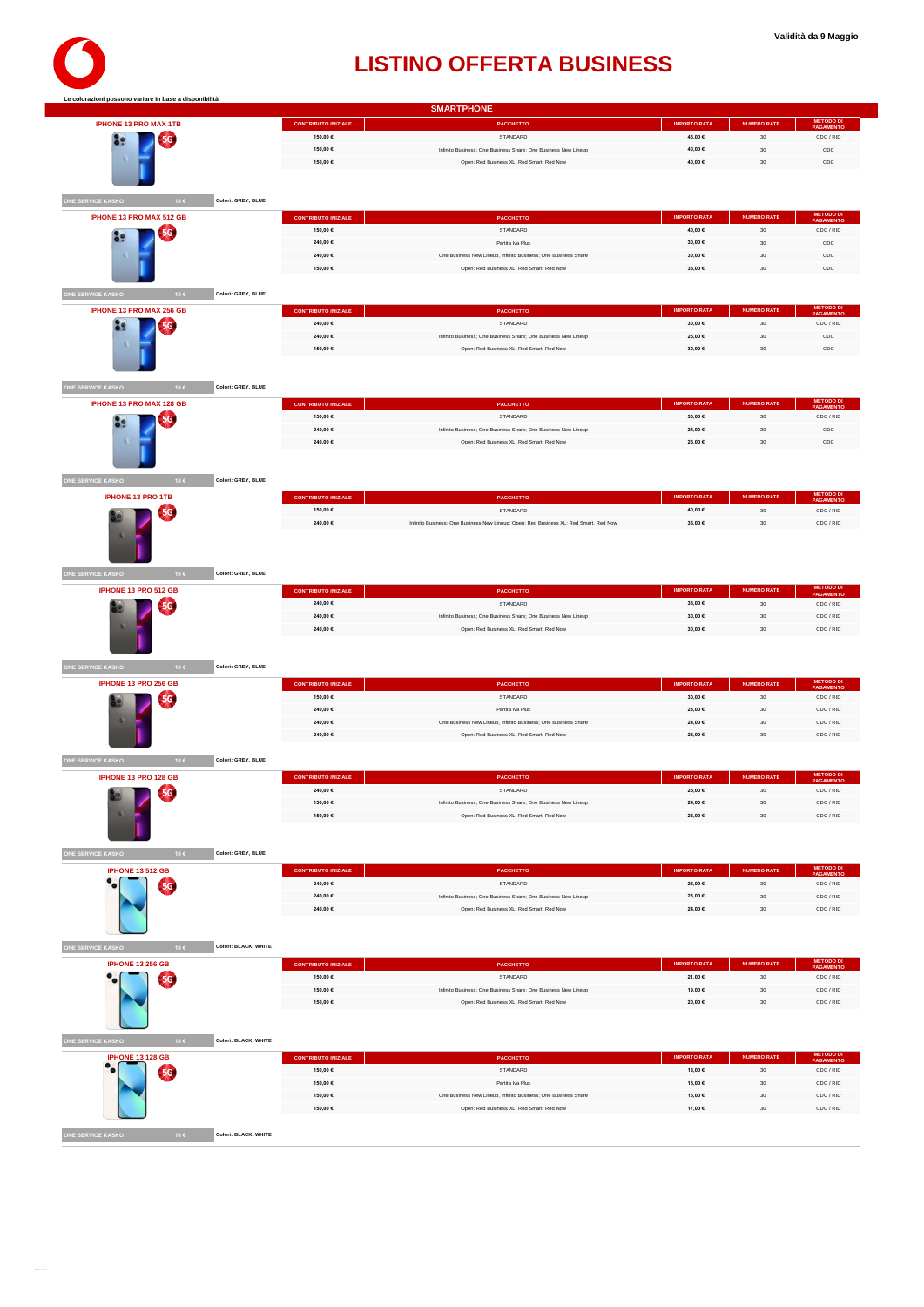| <b>IPHONE 13 PRO MAX 1TB</b>           |                      | <b>CONTRIBUTO INIZIALE</b>             | <b>PACCHETTO</b>                                                                                            | <b>IMPORTO RATA</b> | <b>NUMERO RATE</b>       | METODO DI<br>PAGAMENTO              |
|----------------------------------------|----------------------|----------------------------------------|-------------------------------------------------------------------------------------------------------------|---------------------|--------------------------|-------------------------------------|
|                                        |                      | 150,00 €                               | STANDARD                                                                                                    | 45,00 €             | $30\,$                   | CDC / RID                           |
| 5G<br>89                               |                      | 150,00 €                               | Infinito Business; One Business Share; One Business New Lineup                                              | 40,00 €             | 30                       | CDC                                 |
|                                        |                      | 150,00 €                               | Open: Red Business XL; Red Smart, Red Now                                                                   | 40,00 €             | 30                       | CDC                                 |
|                                        |                      |                                        |                                                                                                             |                     |                          |                                     |
|                                        |                      |                                        |                                                                                                             |                     |                          |                                     |
| ONE SERVICE KASKO<br>10€               | Colori: GREY, BLUE   |                                        |                                                                                                             |                     |                          |                                     |
| IPHONE 13 PRO MAX 512 GB               |                      | <b>CONTRIBUTO INIZIALE</b>             | <b>PACCHETTO</b>                                                                                            | <b>IMPORTO RATA</b> | <b>NUMERO RATE</b>       | METODO DI<br>PAGAMENTO              |
|                                        |                      | 150,00 €                               | STANDARD                                                                                                    | 40,00 €             | $30\,$                   | CDC / RID                           |
| 56<br><b>Se</b>                        |                      | 240.00 €                               | Partita Iva Plus                                                                                            | 30.00 €             | 30                       | CDC                                 |
|                                        |                      | 240,00 €                               |                                                                                                             | 30,00 €             | 30                       | $_{\rm CDC}$                        |
|                                        |                      | 150,00 €                               | One Business New Lineup, Infinito Business; One Business Share<br>Open: Red Business XL: Red Smart, Red Now | 35,00 €             | 30                       | CDC                                 |
|                                        |                      |                                        |                                                                                                             |                     |                          |                                     |
| ONE SERVICE KASKO<br>10€               | Colori: GREY, BLUE   |                                        |                                                                                                             |                     |                          |                                     |
| IPHONE 13 PRO MAX 256 GB               |                      |                                        |                                                                                                             | <b>IMPORTO RATA</b> |                          | METODO DI<br>PAGAMENTO              |
|                                        |                      | <b>CONTRIBUTO INIZIALE</b>             | <b>PACCHETTO</b>                                                                                            |                     | <b>NUMERO RATE</b>       |                                     |
| 5G.<br>ăº                              |                      | 240,00 €<br>240.00 €                   | STANDARD                                                                                                    | 30,00 €<br>25.00 €  | $30\,$                   | CDC / RID<br>CDC                    |
|                                        |                      |                                        | Infinito Business; One Business Share; One Business New Lineup                                              |                     | 30                       |                                     |
|                                        |                      | 150,00 €                               | Open: Red Business XL; Red Smart, Red Now                                                                   | 30,00 €             | 30                       | $_{\rm CDC}$                        |
|                                        |                      |                                        |                                                                                                             |                     |                          |                                     |
| <b>ONE SERVICE KASKO</b><br>10€        | Colori: GREY, BLUE   |                                        |                                                                                                             |                     |                          |                                     |
|                                        |                      |                                        |                                                                                                             |                     |                          |                                     |
| IPHONE 13 PRO MAX 128 GB               |                      | <b>CONTRIBUTO INIZIALE</b>             | <b>PACCHETTO</b>                                                                                            | <b>IMPORTO RATA</b> | <b>NUMERO RATE</b>       | <b>METODO DI</b><br>PAGAMENTO       |
| 5G<br>ăº                               |                      | 150,00 €                               | STANDARD                                                                                                    | 30,00 €             | $30\,$                   | CDC / RID                           |
|                                        |                      | 240,00 €                               | Infinito Business; One Business Share; One Business New Lineup                                              | 24,00 €             | $30\,$                   | CDC                                 |
|                                        |                      | 240,00 €                               | Open: Red Business XL; Red Smart, Red Now                                                                   | 25,00 €             | 30                       | $_{\rm CDC}$                        |
|                                        |                      |                                        |                                                                                                             |                     |                          |                                     |
|                                        |                      |                                        |                                                                                                             |                     |                          |                                     |
| NE SERVICE KASKO<br>10€                | Colori: GREY, BLUE   |                                        |                                                                                                             |                     |                          |                                     |
| <b>IPHONE 13 PRO 1TB</b>               |                      | <b>CONTRIBUTO INIZIALE</b>             | <b>PACCHETTO</b>                                                                                            | <b>IMPORTO RATA</b> | <b>NUMERO RATE</b>       | METODO DI<br>PAGAMENTO              |
| 5G                                     |                      | 150,00 €                               | STANDARD                                                                                                    | 40,00 €             | $30\,$                   | CDC / RID                           |
|                                        |                      | 240,00 €                               | Infinito Business; One Business New Lineup; Open: Red Business XL; Red Smart, Red Now                       | 35,00 €             | $30\,$                   | CDC / RID                           |
|                                        |                      |                                        |                                                                                                             |                     |                          |                                     |
|                                        |                      |                                        |                                                                                                             |                     |                          |                                     |
|                                        |                      |                                        |                                                                                                             |                     |                          |                                     |
| <b>NE SERVICE KASKO</b><br>10€         | Colori: GREY, BLUE   |                                        |                                                                                                             |                     |                          |                                     |
| IPHONE 13 PRO 512 GB                   |                      |                                        |                                                                                                             | <b>IMPORTO RATA</b> | <b>NUMERO RATE</b>       | METODO DI<br>PAGAMENTO              |
|                                        |                      | <b>CONTRIBUTO INIZIALE</b><br>240,00 € | <b>PACCHETTO</b><br>STANDARD                                                                                | 35,00€              | 30                       | CDC / RID                           |
| 5G                                     |                      | 240,00 €                               |                                                                                                             |                     |                          |                                     |
|                                        |                      |                                        | Infinito Business; One Business Share; One Business New Lineup                                              | 30,00 €             | $_{\rm 30}$              | CDC / RID                           |
|                                        |                      |                                        |                                                                                                             |                     |                          |                                     |
|                                        |                      | 240,00 €                               | Open: Red Business XL; Red Smart, Red Now                                                                   | 30,00 €             | $30\,$                   | CDC / RID                           |
|                                        |                      |                                        |                                                                                                             |                     |                          |                                     |
|                                        |                      |                                        |                                                                                                             |                     |                          |                                     |
| <b>NE SERVICE KASKO</b><br>10€         | Colori: GREY, BLUE   |                                        |                                                                                                             |                     |                          |                                     |
| IPHONE 13 PRO 256 GB                   |                      | <b>CONTRIBUTO INIZIALE</b>             | PACCHETTO                                                                                                   | <b>IMPORTO RATA</b> | <b>NUMERO RATE</b>       | <b>METODO DI</b><br>PAGAMENTO       |
| 5G.                                    |                      | 150,00 €                               | STANDARD                                                                                                    | 30,00 €             | 30                       | CDC / RID                           |
|                                        |                      | 240,00 €                               | Partita Iva Plus                                                                                            | 23,00 €             | 30                       | CDC / RID                           |
|                                        |                      | 240.00 €                               | One Business New Lineup, Infinito Business: One Business Share                                              | 24.00 €             | 30                       | CDC / RID                           |
|                                        |                      | 240,00 €                               | Open: Red Business XL; Red Smart, Red Now                                                                   | 25,00 €             | 30                       | CDC / RID                           |
|                                        |                      |                                        |                                                                                                             |                     |                          |                                     |
| <b>ONE SERVICE KASKO</b><br>10€        | Colori: GREY, BLUE   |                                        |                                                                                                             |                     |                          |                                     |
| <b>IPHONE 13 PRO 128 GB</b>            |                      | <b>CONTRIBUTO INIZIALE</b>             | PACCHETTO                                                                                                   | <b>IMPORTO RATA</b> | <b>NUMERO RATE</b>       | <b>METODO DI</b><br>PAGAMENTO       |
|                                        |                      | 240,00 €                               | <b>STANDARD</b>                                                                                             | 25,00 €             |                          | CDC / RID                           |
| <b>5G</b>                              |                      | 150,00 €                               | Infinito Business; One Business Share; One Business New Lineup                                              | 24,00 €             | $_{\rm 30}$              | CDC / RID                           |
|                                        |                      | 150.00 €                               | Open: Red Business XL: Red Smart, Red Now                                                                   | 25.00 €             | 30                       | CDC / RID                           |
|                                        |                      |                                        |                                                                                                             |                     |                          |                                     |
|                                        |                      |                                        |                                                                                                             |                     |                          |                                     |
| 10€                                    | Colori: GREY, BLUE   |                                        |                                                                                                             |                     |                          |                                     |
|                                        |                      |                                        |                                                                                                             | <b>IMPORTO RATA</b> |                          |                                     |
| <b>IPHONE 13 512 GB</b>                |                      | <b>CONTRIBUTO INIZIALE</b><br>240,00 € | PACCHETTO<br>STANDARD                                                                                       | 25,00 €             | <b>NUMERO RATE</b><br>30 | METODO DI<br>PAGAMENTO<br>CDC / RID |
| <b>5G</b>                              |                      |                                        | Infinito Business; One Business Share; One Business New Lineup                                              |                     |                          |                                     |
|                                        |                      | 240,00 €<br>240,00 €                   |                                                                                                             | 23,00 €<br>24,00 €  | $30\,$<br>30             | CDC / RID                           |
|                                        |                      |                                        | Open: Red Business XL; Red Smart, Red Now                                                                   |                     |                          | CDC / RID                           |
|                                        |                      |                                        |                                                                                                             |                     |                          |                                     |
| 10€                                    | Colori: BLACK, WHITE |                                        |                                                                                                             |                     |                          |                                     |
|                                        |                      |                                        |                                                                                                             |                     |                          |                                     |
| <b>IPHONE 13 256 GB</b>                |                      | <b>CONTRIBUTO INIZIALE</b>             | <b>PACCHETTO</b>                                                                                            | <b>IMPORTO RATA</b> | <b>NUMERO RATE</b>       | <b>METODO DI</b><br>PAGAMENTO       |
| <b>5G</b>                              |                      | 150,00 €                               | STANDARD                                                                                                    | 21,00 €             | $30\,$                   | CDC / RID                           |
|                                        |                      | 150,00 €                               | Infinito Business; One Business Share; One Business New Lineup                                              | 19,00 €             | $30\,$                   | CDC / RID                           |
| ONE SERVICE KASKO<br>ONE SERVICE KASKO |                      | 150,00 €                               | Open: Red Business XL; Red Smart, Red Now                                                                   | 20,00 €             | 30                       | CDC / RID                           |
|                                        |                      |                                        |                                                                                                             |                     |                          |                                     |
|                                        |                      |                                        |                                                                                                             |                     |                          |                                     |
| <b>NE SERVICE KASKO</b><br>10€         | Colori: BLACK, WHITE |                                        |                                                                                                             |                     |                          |                                     |
| <b>IPHONE 13 128 GB</b>                |                      | <b>CONTRIBUTO INIZIALE</b>             | PACCHETTO                                                                                                   | <b>IMPORTO RATA</b> | <b>NUMERO RATE</b>       | METODO DI<br>PAGAMENTO              |
|                                        |                      | 150,00 €                               | STANDARD                                                                                                    | 18,00 €             | $30\,$                   | CDC / RID                           |
| <b>5G</b>                              |                      | 150,00 €                               | Partita Iva Plus                                                                                            | 15,00 €             | 30                       | CDC / RID                           |
|                                        |                      | 150,00 €                               | One Business New Lineup, Infinito Business; One Business Share                                              | 16,00 €             | $30\,$                   | CDC / RID                           |
|                                        |                      | 150,00 €                               | Open: Red Business XL; Red Smart, Red Now                                                                   | 17,00 €             | 30                       | CDC / RID                           |

O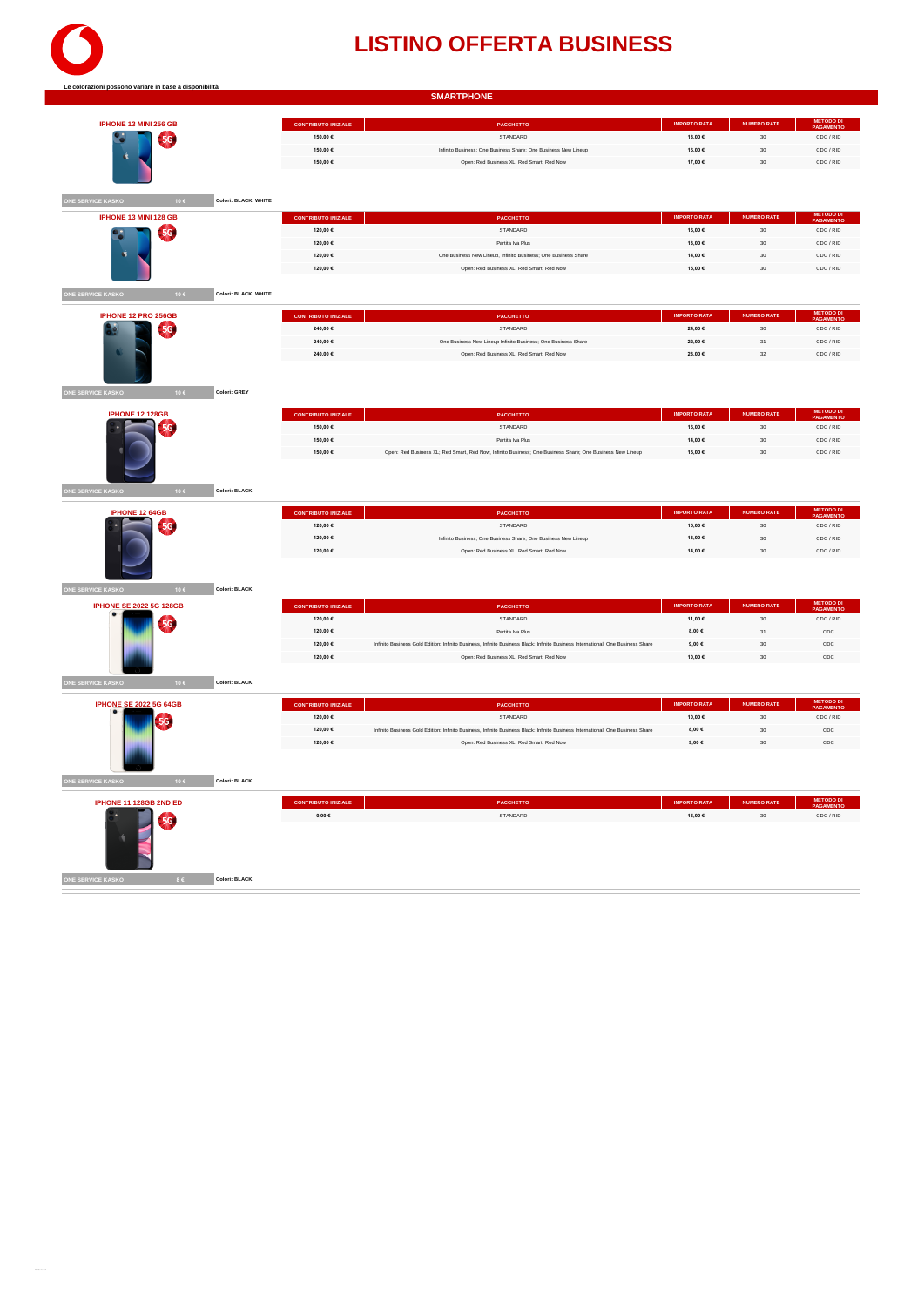

|                                                         |                                          | <b>SMARTPHONE</b>                                                                                                                                                            |                           |                    |                               |
|---------------------------------------------------------|------------------------------------------|------------------------------------------------------------------------------------------------------------------------------------------------------------------------------|---------------------------|--------------------|-------------------------------|
|                                                         |                                          |                                                                                                                                                                              |                           |                    |                               |
| IPHONE 13 MINI 256 GB                                   | <b>CONTRIBUTO INIZIALE</b>               | PACCHETTO                                                                                                                                                                    | <b>IMPORTO RATA</b>       | <b>NUMERO RATE</b> |                               |
| <b>5G</b><br>c                                          | 150,00 €                                 | STANDARD                                                                                                                                                                     | 18,00 €                   | $_{\rm 30}$        | CDC / RID                     |
|                                                         | 150.00 $6$                               | Infinito Business: One Business Share: One Business New Lineup                                                                                                               | 16.00€                    | 30                 | CDC / RID                     |
|                                                         | 150,00 €                                 | Open: Red Business XL: Red Smart, Red Now                                                                                                                                    | 17,00 €                   | 30                 | CDC / RID                     |
|                                                         |                                          |                                                                                                                                                                              |                           |                    |                               |
| <b>INE SERVICE KASKO</b><br>Colori: BLACK, WHITE<br>10€ |                                          |                                                                                                                                                                              |                           |                    |                               |
| IPHONE 13 MINI 128 GB                                   | <b>CONTRIBUTO INIZIALE</b>               | PACCHETTO                                                                                                                                                                    | <b>IMPORTO RATA</b>       | <b>NUMERO RATE</b> | <b>METODO DI</b><br>PAGAMENTO |
| <b>5G</b>                                               | 120,00 €                                 | STANDARD                                                                                                                                                                     | 16,00 €                   | 30                 | CDC / RID                     |
|                                                         | 120.00 €                                 | Partita Iva Plus                                                                                                                                                             | 13,00 €                   | 30                 | CDC / RID                     |
|                                                         | 120.00 $6$                               | One Business New Lineup, Infinito Business; One Business Share                                                                                                               | 14.00 $6$                 | 30                 | CDC / RID                     |
|                                                         | 120,00 €                                 | Open: Red Business XL: Red Smart, Red Now                                                                                                                                    | 15,00€                    | 30                 | CDC / RID                     |
| ONE SERVICE KASKO<br>10€<br>Colori: BLACK, WHITE        |                                          |                                                                                                                                                                              |                           |                    |                               |
| IPHONE 12 PRO 256GB                                     | <b>CONTRIBUTO INIZIALE</b>               | <b>PACCHETTO</b>                                                                                                                                                             | <b>IMPORTO RATA</b>       | <b>NUMERO RATE</b> | <b>METODO DI</b><br>PAGAMENTO |
| <b>5G</b>                                               | 240,00 €                                 | STANDARD                                                                                                                                                                     | 24,00 €                   | 30                 | CDC / RID                     |
|                                                         | 240,00 €                                 | One Business New Lineup Infinito Business; One Business Share                                                                                                                | 22,00 €                   | $31\,$             | CDC / RID                     |
|                                                         | 240.00 €                                 | Open: Red Business XL: Red Smart, Red Now                                                                                                                                    | 23.00 €                   | 32                 | CDC / RID                     |
|                                                         |                                          |                                                                                                                                                                              |                           |                    |                               |
|                                                         |                                          |                                                                                                                                                                              |                           |                    |                               |
| ONE SERVICE KASKO<br>10€<br>Colori: GREY                |                                          |                                                                                                                                                                              |                           |                    |                               |
| <b>IPHONE 12 128GB</b>                                  | <b>CONTRIBUTO INIZIALE</b>               | PACCHETTO                                                                                                                                                                    | <b>IMPORTO RATA</b>       | <b>NUMERO RATE</b> | METODO DI<br>PAGAMENTO        |
| 5G                                                      | 150,00 €                                 | STANDARD                                                                                                                                                                     | 16,00 €                   | 30                 | CDC / RID                     |
|                                                         | 150,00 €                                 | Partita Iva Plus                                                                                                                                                             | 14,00 €                   | $_{30}$            | CDC / RID                     |
|                                                         | 150,00 €                                 | Open: Red Business XL; Red Smart, Red Now, Infinito Business; One Business Share; One Business New Lineup                                                                    | 15,00 €                   | 30                 | CDC / RID                     |
|                                                         |                                          |                                                                                                                                                                              |                           |                    |                               |
| E SERVICE KASKO<br>Colori: BLACK<br>106                 |                                          |                                                                                                                                                                              |                           |                    |                               |
| <b>IPHONE 12 64GB</b>                                   | <b>CONTRIBUTO INIZIALE</b>               | <b>PACCHETTO</b>                                                                                                                                                             | <b>IMPORTO RATA</b>       | NUMERO RATE        | METODO D<br>PAGAMENT          |
| <b>5G</b>                                               | 120,00 €                                 | STANDARD                                                                                                                                                                     | 15,00 €                   | 30                 | CDC / RID                     |
|                                                         | 120,00 €                                 | Infinito Business; One Business Share; One Business New Lineup                                                                                                               | 13,00 €                   | $_{30}$            | CDC / RID                     |
|                                                         | 120,00 €                                 | Open: Red Business XL; Red Smart, Red Now                                                                                                                                    | 14,00 €                   | 30                 | CDC / RID                     |
|                                                         |                                          |                                                                                                                                                                              |                           |                    |                               |
| <b>NE SERVICE KASKO</b><br>Colori: BLACK<br>10€         |                                          |                                                                                                                                                                              |                           |                    |                               |
| <b>IPHONE SE 2022 5G 128GB</b>                          | <b>CONTRIBUTO INIZIALE</b>               | <b>PACCHETTO</b>                                                                                                                                                             | <b>IMPORTO RATA</b>       | NUMERO RATE        | <b>METODO DI</b><br>PAGAMENTO |
| 5G                                                      | 120,00 €                                 | STANDARD                                                                                                                                                                     | 11,00 €                   | 30                 | CDC / RID                     |
|                                                         | 120,00 €                                 | Partita Iva Plus                                                                                                                                                             | 8,00 $\in$                | 31                 | $_{\rm CDC}$                  |
|                                                         | 120,00 €<br>120.00 €                     | Infinito Business Gold Edition: Infinito Business, Infinito Business Black: Infinito Business International; One Business Share<br>Open: Red Business XL: Red Smart, Red Now | 9,00 $\epsilon$<br>10.00€ | 30<br>30           | $_{\text{CDC}}$<br>CDC        |
|                                                         |                                          |                                                                                                                                                                              |                           |                    |                               |
| E SERVICE KASKO<br>10€<br>Colori: BLACK                 |                                          |                                                                                                                                                                              |                           |                    |                               |
| <b>IPHONE SE 2022 5G 64GB</b>                           | <b>CONTRIBUTO INIZIALE</b>               | PACCHETTO                                                                                                                                                                    | <b>IMPORTO RATA</b>       | <b>NUMERO RATE</b> | <b>METODO D<br/>PAGAMENT</b>  |
| 5G                                                      | 120,00 €                                 | STANDARD                                                                                                                                                                     | 10,00 €                   | 30                 | CDC / RID                     |
|                                                         | 120,00 €                                 | Infinito Business Gold Edition: Infinito Business, Infinito Business Black: Infinito Business International; One Business Share                                              | 8,00 $\in$                | 30                 | CDC                           |
|                                                         | 120,00 €                                 | Open: Red Business XL; Red Smart, Red Now                                                                                                                                    | 9,00 $\epsilon$           | 30                 | $_{\text{CDC}}$               |
| <b>ONE SERVICE KASKO</b><br>10€<br>Colori: BLACK        |                                          |                                                                                                                                                                              |                           |                    |                               |
|                                                         |                                          |                                                                                                                                                                              | <b>IMPORTO RATA</b>       | NUMERO RATE        | METODO DI                     |
| IPHONE 11 128GB 2ND ED                                  | <b>CONTRIBUTO INIZIALE</b><br>$0.00 \in$ | PACCHETTO<br>STANDARD                                                                                                                                                        | 15,00 €                   | 30                 | CDC / RID                     |
| <b>5G</b>                                               |                                          |                                                                                                                                                                              |                           |                    |                               |
| <b>IE SERVICE KASKO</b><br>$8 \in$<br>Colori: BLACK     |                                          |                                                                                                                                                                              |                           |                    |                               |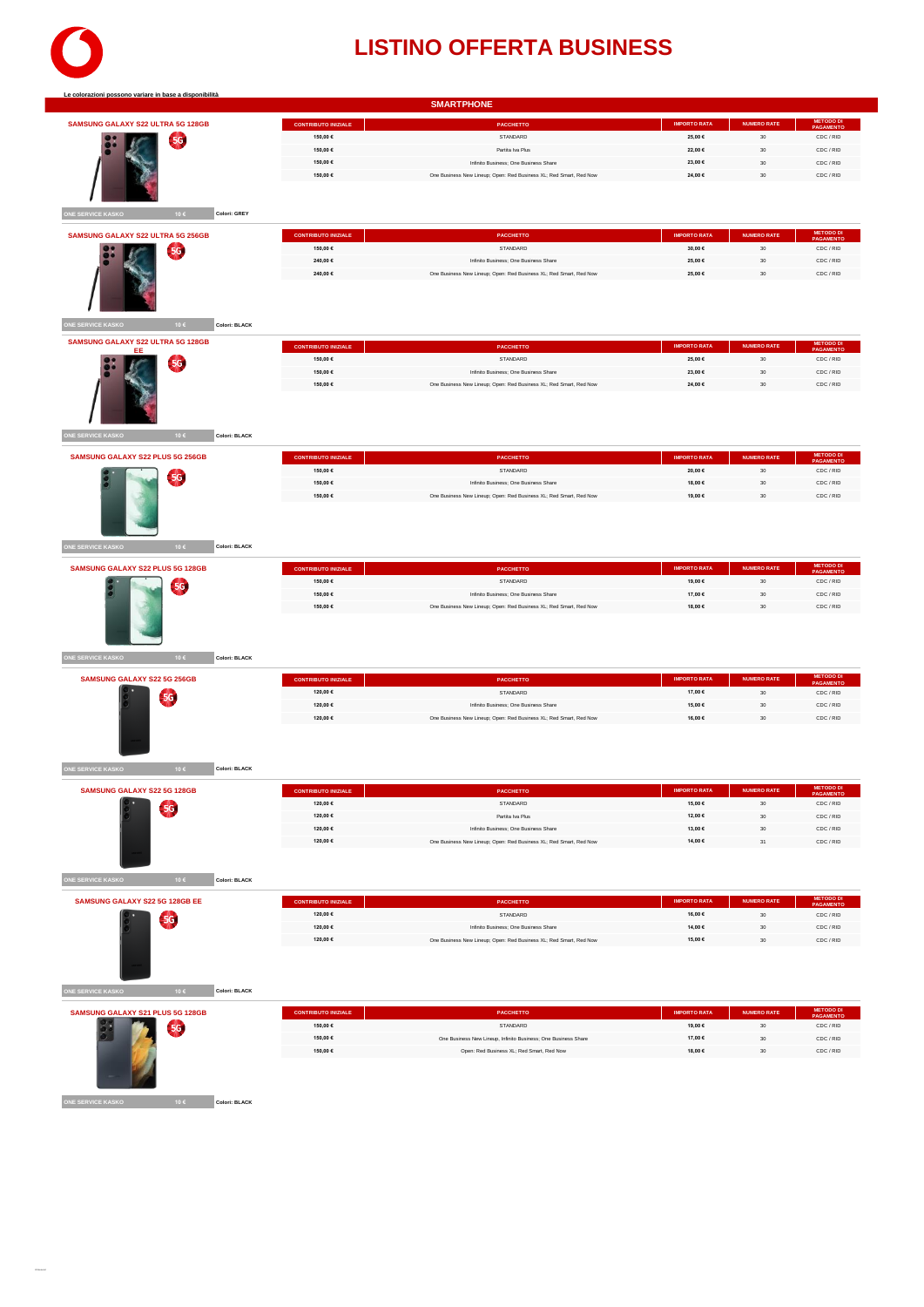

| SAMSUNG GALAXY S22 ULTRA 5G 128GB                                                                                  | <b>CONTRIBUTO INIZIALE</b> | PACCHETTO                                                          | <b>IMPORTO RATA</b> | <b>NUMERO RATE</b> | <b>METODO DI</b><br>PAGAMENTO              |
|--------------------------------------------------------------------------------------------------------------------|----------------------------|--------------------------------------------------------------------|---------------------|--------------------|--------------------------------------------|
|                                                                                                                    | 150,00 €                   | STANDARD                                                           | 25,00 €             | 30                 | CDC / RID                                  |
| 5G                                                                                                                 | 150,00 €                   | Partita Iva Plus                                                   | 22,00 €             | 30                 | CDC / RID                                  |
|                                                                                                                    | 150,00 €                   | Infinito Business; One Business Share                              | 23,00 €             | $_{\rm 30}$        | CDC / RID                                  |
|                                                                                                                    | 150,00 €                   | One Business New Lineup; Open: Red Business XL; Red Smart, Red Now | 24,00 €             | 30                 | CDC / RID                                  |
|                                                                                                                    |                            |                                                                    |                     |                    |                                            |
|                                                                                                                    |                            |                                                                    |                     |                    |                                            |
| ONE SERVICE KASKO<br>10€<br>Colori: GREY                                                                           |                            |                                                                    |                     |                    |                                            |
|                                                                                                                    |                            |                                                                    |                     |                    |                                            |
| <b>SAMSUNG GALAXY S22 ULTRA 5G 256GB</b>                                                                           | <b>CONTRIBUTO INIZIALE</b> | <b>PACCHETTO</b>                                                   | <b>IMPORTO RATA</b> | <b>NUMERO RATE</b> | <b>METODO DI</b><br>PAGAMENTO              |
| $\left(56\right)$                                                                                                  | 150,00 €                   | STANDARD                                                           | 30,00 €             | $30\,$             | CDC / RID                                  |
|                                                                                                                    | 240,00 €                   | Infinito Business; One Business Share                              | 25,00 €             | 30                 | CDC / RID                                  |
|                                                                                                                    | 240,00 €                   | One Business New Lineup; Open: Red Business XL; Red Smart, Red Now | 25,00 €             | $30\,$             | CDC / RID                                  |
|                                                                                                                    |                            |                                                                    |                     |                    |                                            |
|                                                                                                                    |                            |                                                                    |                     |                    |                                            |
|                                                                                                                    |                            |                                                                    |                     |                    |                                            |
| ONE SERVICE KASKO<br>10€<br>Colori: BLACK                                                                          |                            |                                                                    |                     |                    |                                            |
| SAMSUNG GALAXY S22 ULTRA 5G 128GB                                                                                  |                            |                                                                    |                     |                    |                                            |
| EE                                                                                                                 | <b>CONTRIBUTO INIZIALE</b> | PACCHETTO                                                          | <b>IMPORTO RATA</b> | <b>NUMERO RATE</b> | <b>METODO DI</b><br>PAGAMENTO              |
| <b>5G</b>                                                                                                          | 150,00 €                   | STANDARD                                                           | 25,00€              | 30                 | CDC / RID                                  |
|                                                                                                                    | 150,00 €                   | Infinito Business; One Business Share                              | 23,00 €             | $_{\rm 30}$        | CDC / RID                                  |
|                                                                                                                    | 150,00 €                   | One Business New Lineup; Open: Red Business XL; Red Smart, Red Now | 24,00 €             | 30                 | CDC / RID                                  |
|                                                                                                                    |                            |                                                                    |                     |                    |                                            |
|                                                                                                                    |                            |                                                                    |                     |                    |                                            |
|                                                                                                                    |                            |                                                                    |                     |                    |                                            |
| ONE SERVICE KASKO<br>10€<br>Colori: BLACK                                                                          |                            |                                                                    |                     |                    |                                            |
|                                                                                                                    |                            |                                                                    |                     |                    |                                            |
| SAMSUNG GALAXY S22 PLUS 5G 256GB                                                                                   | <b>CONTRIBUTO INIZIALE</b> | PACCHETTO                                                          | <b>IMPORTO RATA</b> | <b>NUMERO RATE</b> | <b>METODO D</b><br>PAGAMENT                |
| 5G                                                                                                                 | 150,00 €                   | STANDARD                                                           | 20,00 €             | 30                 | CDC / RID                                  |
|                                                                                                                    | 150,00 €                   | Infinito Business; One Business Share                              | 18.00 €             | $30\,$             | CDC / RID                                  |
|                                                                                                                    | 150,00 €                   | One Business New Lineup; Open: Red Business XL; Red Smart, Red Now | 19,00 €             | 30                 | CDC / RID                                  |
|                                                                                                                    |                            |                                                                    |                     |                    |                                            |
|                                                                                                                    |                            |                                                                    |                     |                    |                                            |
|                                                                                                                    |                            |                                                                    |                     |                    |                                            |
| ONE SERVICE KASKO<br>10€<br>Colori: BLACK                                                                          |                            |                                                                    |                     |                    |                                            |
|                                                                                                                    | <b>CONTRIBUTO INIZIALE</b> | <b>PACCHETTO</b>                                                   | <b>IMPORTO RATA</b> | <b>NUMERO RATE</b> | <b>METODO DI</b><br>PAGAMENTO              |
|                                                                                                                    |                            |                                                                    |                     |                    |                                            |
| SAMSUNG GALAXY S22 PLUS 5G 128GB                                                                                   |                            |                                                                    |                     |                    |                                            |
| <b>5G</b>                                                                                                          | 150,00 €                   | STANDARD                                                           | 19,00 €             | $_{30}$            | CDC / RID                                  |
|                                                                                                                    | 150,00 €                   | Infinito Business: One Business Share                              | 17,00 €             | 30                 | CDC / RID                                  |
|                                                                                                                    | 150,00 €                   | One Business New Lineup; Open: Red Business XL; Red Smart, Red Now | 18,00 €             | 30                 | CDC / RID                                  |
|                                                                                                                    |                            |                                                                    |                     |                    |                                            |
|                                                                                                                    |                            |                                                                    |                     |                    |                                            |
|                                                                                                                    |                            |                                                                    |                     |                    |                                            |
| ONE SERVICE KASKO<br>Colori: BLACK<br>10 $\epsilon$                                                                |                            |                                                                    |                     |                    |                                            |
| SAMSUNG GALAXY S22 5G 256GB                                                                                        | <b>CONTRIBUTO INIZIALE</b> | <b>PACCHETTO</b>                                                   | <b>IMPORTO RATA</b> | <b>NUMERO RATE</b> |                                            |
|                                                                                                                    | 120,00 €                   | STANDARD                                                           | 17,00 €             | $30\,$             | <b>METODO DI</b><br>PAGAMENTO<br>CDC / RID |
| 5G                                                                                                                 | 120,00 €                   | Infinito Business; One Business Share                              | 15,00 €             | $_{\rm 30}$        | CDC / RID                                  |
|                                                                                                                    | 120,00 €                   | One Business New Lineup; Open: Red Business XL; Red Smart, Red Now | 16,00 €             | 30                 | CDC / RID                                  |
|                                                                                                                    |                            |                                                                    |                     |                    |                                            |
|                                                                                                                    |                            |                                                                    |                     |                    |                                            |
|                                                                                                                    |                            |                                                                    |                     |                    |                                            |
| Colori: BLACK<br>10€                                                                                               |                            |                                                                    |                     |                    |                                            |
|                                                                                                                    |                            |                                                                    |                     |                    |                                            |
| SAMSUNG GALAXY S22 5G 128GB                                                                                        | <b>CONTRIBUTO INIZIALE</b> | PACCHETTO                                                          | <b>IMPORTO RATA</b> | NUMERO RATE        | <b>METODO DI</b>                           |
|                                                                                                                    | 120,00 €                   | STANDARD                                                           | 15,00 €             | 30                 | CDC / RID                                  |
| <b>5G</b>                                                                                                          | 120,00 €                   | Partita Iva Plus                                                   | 12,00 €             | 30                 | CDC / RID                                  |
|                                                                                                                    | 120,00 €                   | Infinito Business; One Business Share                              | 13,00 €             | 30                 | CDC / RID                                  |
|                                                                                                                    | 120,00 €                   | One Business New Lineup; Open: Red Business XL; Red Smart, Red Now | 14,00 €             | 31                 | CDC / RID                                  |
|                                                                                                                    |                            |                                                                    |                     |                    |                                            |
|                                                                                                                    |                            |                                                                    |                     |                    |                                            |
| 10€<br>Colori: BLACK                                                                                               |                            |                                                                    |                     |                    |                                            |
|                                                                                                                    |                            |                                                                    |                     |                    |                                            |
|                                                                                                                    | <b>CONTRIBUTO INIZIALE</b> | <b>PACCHETTO</b>                                                   | <b>IMPORTO RATA</b> | <b>NUMERO RATE</b> | METODO D<br>PAGAMENTO                      |
| <b>5G</b>                                                                                                          | 120,00 €                   | STANDARD                                                           | 16,00 €             | $30\,$             | CDC / RID                                  |
|                                                                                                                    | 120,00 €                   | Infinito Business: One Business Share                              | 14,00 €             | 30                 | CDC / RID                                  |
|                                                                                                                    | 120,00 €                   | One Business New Lineup; Open: Red Business XL; Red Smart, Red Now | 15,00 €             | 30                 | CDC / RID                                  |
| <b>SAMSUNG GALAXY S22 5G 128GB EE</b>                                                                              |                            |                                                                    |                     |                    |                                            |
|                                                                                                                    |                            |                                                                    |                     |                    |                                            |
|                                                                                                                    |                            |                                                                    |                     |                    |                                            |
| 10€<br>Colori: BLACK                                                                                               |                            |                                                                    |                     |                    |                                            |
|                                                                                                                    | <b>CONTRIBUTO INIZIALE</b> | <b>PACCHETTO</b>                                                   | <b>IMPORTO RATA</b> | <b>NUMERO RATE</b> |                                            |
|                                                                                                                    | 150,00 €                   | STANDARD                                                           |                     |                    | METODO D<br>PAGAMENT<br>CDC / RID          |
| 5G                                                                                                                 |                            |                                                                    | 19,00 €             | 30                 |                                            |
| <b>ONE SERVICE KASKO</b><br><b>NE SERVICE KASKO</b><br><b>NE SERVICE KASKO</b><br>SAMSUNG GALAXY S21 PLUS 5G 128GB | 150,00 €                   | One Business New Lineup, Infinito Business; One Business Share     | 17,00 €             | 30                 | CDC / RID                                  |
|                                                                                                                    | 150,00 €                   | Open: Red Business XL; Red Smart, Red Now                          | 18,00 €             | $_{30}$            | CDC / RID                                  |

**ONE SERVICE KASKO 10 € Colori: BLACK**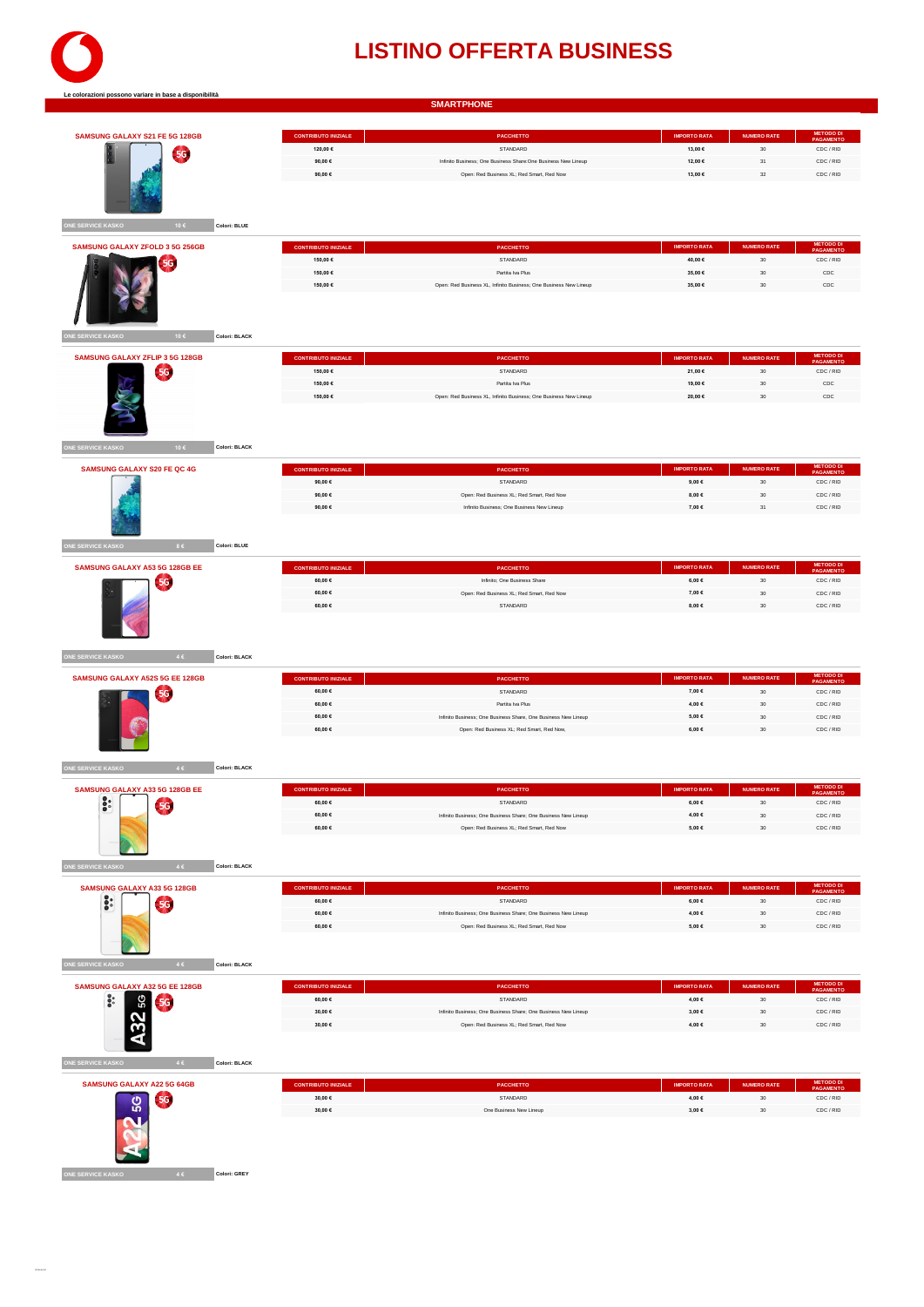

|                                                     |                            | <b>SMARTPHONE</b>                                                 |                     |                    |                               |
|-----------------------------------------------------|----------------------------|-------------------------------------------------------------------|---------------------|--------------------|-------------------------------|
|                                                     |                            |                                                                   |                     |                    |                               |
| SAMSUNG GALAXY S21 FE 5G 128GB                      | <b>CONTRIBUTO INIZIALE</b> | PACCHETTO                                                         | <b>IMPORTO RATA</b> | <b>NUMERO RATE</b> | <b>METODO DI</b><br>PAGAMENTO |
|                                                     | 120,00 €                   | STANDARD                                                          | 13,00 €             | $30\,$             | CDC / RID                     |
| 5G                                                  | 90.00€                     | Infinito Business; One Business Share: One Business New Lineup    | 12,00 €             | 31                 | CDC / RID                     |
|                                                     | 90,00 $\in$                | Open: Red Business XL; Red Smart, Red Now                         | 13,00 €             | $_{32}$            | CDC / RID                     |
|                                                     |                            |                                                                   |                     |                    |                               |
|                                                     |                            |                                                                   |                     |                    |                               |
|                                                     |                            |                                                                   |                     |                    |                               |
|                                                     |                            |                                                                   |                     |                    |                               |
| ONE SERVICE KASKO<br>10€<br>Colori: BLUE            |                            |                                                                   |                     |                    |                               |
| <b>SAMSUNG GALAXY ZFOLD 3 5G 256GB</b>              |                            |                                                                   | <b>IMPORTO RATA</b> | <b>NUMERO RATE</b> | <b>METODO D</b>               |
|                                                     | <b>CONTRIBUTO INIZIALE</b> | <b>PACCHETTO</b>                                                  |                     |                    | <b>PAGAMENTC</b>              |
| 5G                                                  | 150,00 €                   | STANDARD                                                          | 40,00 €             | 30                 | CDC / RID                     |
|                                                     | 150,00 €                   | Partita Iva Plus                                                  | 35,00 €             | $30\,$             | $_{\rm CDC}$                  |
|                                                     | 150,00 €                   | Open: Red Business XL, Infinito Business; One Business New Lineup | 35,00 €             | 30                 | CDC                           |
|                                                     |                            |                                                                   |                     |                    |                               |
|                                                     |                            |                                                                   |                     |                    |                               |
|                                                     |                            |                                                                   |                     |                    |                               |
| 10€<br>Colori: BLACK<br>NE SERVICE KASKO            |                            |                                                                   |                     |                    |                               |
|                                                     |                            |                                                                   |                     |                    |                               |
| <b>SAMSUNG GALAXY ZFLIP 3 5G 128GB</b>              | <b>CONTRIBUTO INIZIALE</b> | PACCHETTO                                                         | <b>IMPORTO RATA</b> | <b>NUMERO RATE</b> | METODO DI<br>PAGA             |
| 56                                                  | 150,00 €                   | STANDARD                                                          | 21,00 €             | 30                 | CDC / RID                     |
|                                                     | 150,00 €                   | Partita Iva Plus                                                  | 19,00 €             | $_{30}$            | $_{\rm CDC}$                  |
|                                                     | 150,00 €                   | Open: Red Business XL, Infinito Business; One Business New Lineup | 20,00 €             | 30                 | CDC                           |
|                                                     |                            |                                                                   |                     |                    |                               |
|                                                     |                            |                                                                   |                     |                    |                               |
|                                                     |                            |                                                                   |                     |                    |                               |
| ONE SERVICE KASKO<br>10€<br>Colori: BLACK           |                            |                                                                   |                     |                    |                               |
|                                                     |                            |                                                                   |                     |                    |                               |
| <b>SAMSUNG GALAXY S20 FE QC 4G</b>                  | <b>CONTRIBUTO INIZIALE</b> | PACCHETTO                                                         | <b>IMPORTO RATA</b> | <b>NUMERO RATE</b> | <b>METODO D<br/>PAGAMENT</b>  |
|                                                     | 90,00 €                    | STANDARD                                                          | $9{,}00 \in$        | $30\,$             | CDC / RID                     |
|                                                     | 90,00€                     | Open: Red Business XL; Red Smart, Red Now                         | 8,00 $\in$          | $_{\rm 30}$        | CDC / RID                     |
|                                                     | 90,00 $\in$                | Infinito Business; One Business New Lineup                        | 7,00 $\in$          | 31                 | CDC / RID                     |
|                                                     |                            |                                                                   |                     |                    |                               |
|                                                     |                            |                                                                   |                     |                    |                               |
|                                                     |                            |                                                                   |                     |                    |                               |
| ONE SERVICE KASKO<br>Colori: BLUE<br>8 <sub>6</sub> |                            |                                                                   |                     |                    |                               |
| SAMSUNG GALAXY A53 5G 128GB EE                      | <b>CONTRIBUTO INIZIALE</b> | <b>PACCHETTO</b>                                                  | <b>IMPORTO RATA</b> | <b>NUMERO RATE</b> | <b>METODO DI</b>              |
|                                                     | 60,00 €                    | Infinito; One Business Share                                      | $6{,}00 \in$        | 30                 | PAGAMENTO<br>CDC / RID        |
| 5G                                                  |                            |                                                                   |                     |                    |                               |
|                                                     | 60,00 $\in$                | Open: Red Business XL; Red Smart, Red Now                         | 7,00 $\in$          | $_{30}$            | CDC / RID                     |
|                                                     | 60,00 €                    | STANDARD                                                          | 8,00 €              | 30                 | CDC / RID                     |
|                                                     |                            |                                                                   |                     |                    |                               |
|                                                     |                            |                                                                   |                     |                    |                               |
|                                                     |                            |                                                                   |                     |                    |                               |
| ONE SERVICE KASKO<br>$4 \in$<br>Colori: BLACK       |                            |                                                                   |                     |                    |                               |
|                                                     |                            |                                                                   |                     |                    |                               |
| SAMSUNG GALAXY A52S 5G EE 128GB                     | <b>CONTRIBUTO INIZIALE</b> | PACCHETTO                                                         | <b>IMPORTO RATA</b> | <b>NUMERO RATE</b> | <b>METODO D<br/>PAGAMENT</b>  |
| 5G.                                                 | 60,00 €                    | STANDARD                                                          | 7,00 €              | $30\,$             | CDC / RID                     |
|                                                     | 60.00€                     | Partita Iva Plus                                                  | 4,00 €              | $_{\rm 30}$        | CDC / RID                     |
|                                                     | 60,00 $\in$                | Infinito Business; One Business Share, One Business New Lineup    | $\textbf{5,00} \in$ | 30                 | CDC / RID                     |
|                                                     | 60.00€                     |                                                                   |                     |                    | CDC / RID                     |
|                                                     |                            | Open: Red Business XL; Red Smart, Red Now,                        | $6{,}00 \in$        | 30                 |                               |
|                                                     |                            |                                                                   |                     |                    |                               |
|                                                     |                            |                                                                   |                     |                    |                               |
| Colori: BLACK                                       |                            |                                                                   |                     |                    |                               |
| <b>ONE SERVICE KASKO</b><br>4C                      |                            |                                                                   |                     |                    |                               |
| SAMSUNG GALAXY A33 5G 128GB EE                      | <b>CONTRIBUTO INIZIALE</b> | PACCHETTO                                                         | <b>IMPORTO RATA</b> | <b>NUMERO RATE</b> | <b>METODO DI</b>              |
|                                                     | 60,00 €                    |                                                                   | $6{,}00 \in$        |                    |                               |
| $\ddot{\bullet}$<br>56                              |                            | STANDARD                                                          |                     | $_{30}$<br>30      | CDC / RID                     |
|                                                     | 60,00 €                    | Infinito Business; One Business Share; One Business New Lineup    | 4,00 €              |                    | CDC / RID                     |
|                                                     | 60,00 €                    | Open: Red Business XL; Red Smart, Red Now                         | 5,00 €              | $30\,$             | CDC / RID                     |
|                                                     |                            |                                                                   |                     |                    |                               |
|                                                     |                            |                                                                   |                     |                    |                               |
| $4 \in$<br>Colori: BLACK                            |                            |                                                                   |                     |                    |                               |
| ONE SERVICE KASKO                                   |                            |                                                                   |                     |                    |                               |
| <b>SAMSUNG GALAXY A33 5G 128GB</b>                  | <b>CONTRIBUTO INIZIALE</b> | PACCHETTO                                                         | <b>IMPORTO RATA</b> | <b>NUMERO RATE</b> | <b>METODO I</b><br>PAGAMENT   |
| $\ddot{\bullet}$<br>56                              | 60,00 €                    | STANDARD                                                          | $6{,}00 \in$        | $30\,$             | CDC / RID                     |
|                                                     | 60,00 $\in$                | Infinito Business; One Business Share; One Business New Lineup    | 4,00 €              | 30                 | CDC / RID                     |
|                                                     | 60,00 $\in$                | Open: Red Business XL; Red Smart, Red Now                         | $\textbf{5,00} \in$ | $_{30}$            | CDC / RID                     |
|                                                     |                            |                                                                   |                     |                    |                               |
|                                                     |                            |                                                                   |                     |                    |                               |
| NE SERVICE KASKO<br>Colori: BLACK<br>$4 \in$        |                            |                                                                   |                     |                    |                               |
|                                                     |                            |                                                                   |                     |                    |                               |
| SAMSUNG GALAXY A32 5G EE 128GB                      | <b>CONTRIBUTO INIZIALE</b> | PACCHETTO                                                         | <b>IMPORTO RATA</b> | <b>NUMERO RATE</b> | <b>METODO DI</b><br>PAGAMENTO |
|                                                     | 60,00 $\in$                | STANDARD                                                          | 4,00 €              | 30                 | CDC / RID                     |
| ပ္တ<br>$\ddot{\bullet}$<br><b>5G</b>                | 30,00 €                    | Infinito Business; One Business Share; One Business New Lineup    | $3{,}00 \in$        | $30\,$             | CDC / RID                     |
|                                                     | 30,00 €                    | Open: Red Business XL; Red Smart, Red Now                         | 4,00 €              | $30\,$             | CDC / RID                     |
| 32                                                  |                            |                                                                   |                     |                    |                               |
|                                                     |                            |                                                                   |                     |                    |                               |
|                                                     |                            |                                                                   |                     |                    |                               |
| Colori: BLACK<br>$4 \in$                            |                            |                                                                   |                     |                    |                               |
|                                                     |                            |                                                                   |                     |                    |                               |
| <b>SAMSUNG GALAXY A22 5G 64GB</b>                   | <b>CONTRIBUTO INIZIALE</b> | <b>PACCHETTO</b>                                                  | <b>IMPORTO RATA</b> | <b>NUMERO RATE</b> | <b>METODO</b>                 |
| ONE SERVICE KASKO<br><b>5G</b>                      | $30,\!00$ $\in$            | STANDARD                                                          | 4,00 €              | $_{\rm 30}$        | CDC / RID                     |
| 50                                                  | 30,00 $\in$                | One Business New Lineup                                           | $_{3,00}$ $\in$     | 30                 | CDC / RID                     |
|                                                     |                            |                                                                   |                     |                    |                               |
|                                                     |                            |                                                                   |                     |                    |                               |
|                                                     |                            |                                                                   |                     |                    |                               |
|                                                     |                            |                                                                   |                     |                    |                               |
| Colori: GREY<br>ONE SERVICE KASKO<br>$4 \in$        |                            |                                                                   |                     |                    |                               |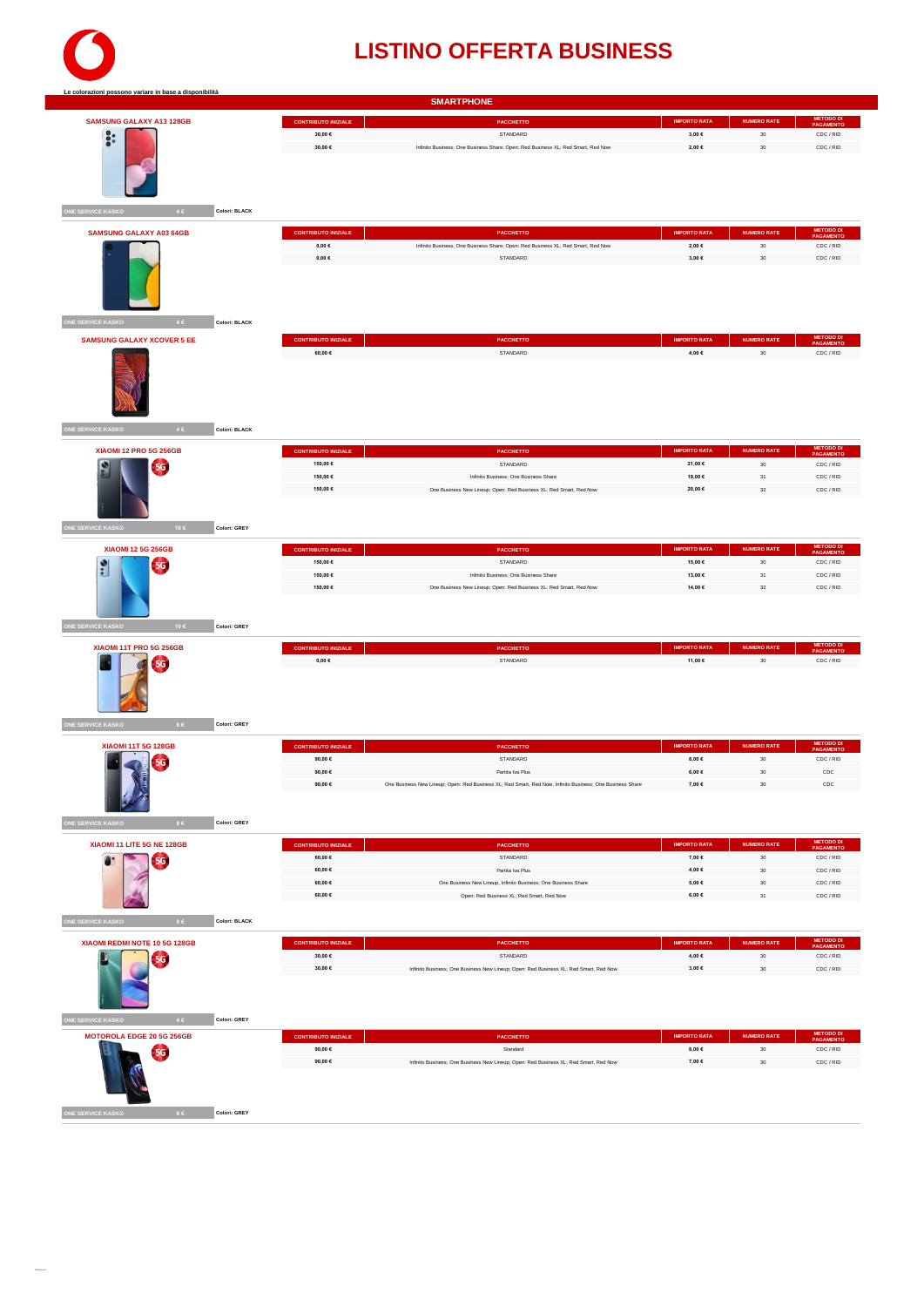

| <b>SAMSUNG GALAXY A13 128GB</b>                   | <b>CONTRIBUTO INIZIALE</b>             | PACCHETTO                                                                                                 | <b>IMPORTO RATA</b>            | <b>NUMERO RATE</b> | METODO DI<br>PAGAMENTO        |
|---------------------------------------------------|----------------------------------------|-----------------------------------------------------------------------------------------------------------|--------------------------------|--------------------|-------------------------------|
|                                                   | $30{,}00 \in$                          | STANDARD                                                                                                  | $_{3,00}$ $\in$                | $_{\rm 30}$        | CDC / RID                     |
| $\ddot{\bullet}$                                  | 30,00 €                                | Infinito Business; One Business Share; Open: Red Business XL; Red Smart, Red Now                          | 2,00 €                         | 30                 | CDC / RID                     |
|                                                   |                                        |                                                                                                           |                                |                    |                               |
| ONE SERVICE KASKO<br>$4 \in$<br>Colori: BLACK     |                                        |                                                                                                           |                                |                    |                               |
| <b>SAMSUNG GALAXY A03 64GB</b>                    | <b>CONTRIBUTO INIZIALE</b>             | PACCHETTO                                                                                                 | <b>IMPORTO RATA</b>            | <b>NUMERO RATE</b> | METODO DI<br>PAGAMENTO        |
|                                                   | $0,00 \in$                             | Infinito Business; One Business Share; Open: Red Business XL; Red Smart, Red Now                          | 2,00 €                         | $30\,$             | CDC / RID                     |
| ONE SERVICE KASKO<br>4C<br>Colori: BLACK          | $\mathbf{0},\mathbf{0}\mathbf{0}\in$   | STANDARD                                                                                                  | 3,00 €                         | 30                 | CDC / RID                     |
| <b>SAMSUNG GALAXY XCOVER 5 EE</b>                 | <b>CONTRIBUTO INIZIALE</b>             | PACCHETTO                                                                                                 | <b>IMPORTO RATA</b>            | <b>NUMERO RATE</b> | <b>METODO DI</b><br>PAGAMENTO |
|                                                   | 60,00 $\in$                            | STANDARD                                                                                                  | 4,00 €                         | 30                 | CDC / RID                     |
| 4C                                                |                                        |                                                                                                           |                                |                    |                               |
| <b>ONE SERVICE KASKO</b><br><b>Colori: BLACK</b>  |                                        |                                                                                                           |                                |                    |                               |
| XIAOMI 12 PRO 5G 256GB                            | <b>CONTRIBUTO INIZIALE</b>             | PACCHETTO                                                                                                 | <b>IMPORTO RATA</b>            | <b>NUMERO RATE</b> | <b>METODO DI</b><br>PAGAMENTO |
| 5G                                                | 150,00 €                               | STANDARD                                                                                                  | 21,00 €                        | 30                 | CDC / RID                     |
|                                                   | 150,00 €                               | Infinito Business; One Business Share                                                                     | 19,00 €                        | $31\,$             | CDC / RID                     |
|                                                   | 150,00 €                               | One Business New Lineup; Open: Red Business XL; Red Smart, Red Now                                        | 20,00 €                        | 32                 | CDC / RID                     |
| ONE SERVICE KASKO<br>10€<br>Colori: GREY          |                                        |                                                                                                           |                                |                    |                               |
|                                                   |                                        |                                                                                                           |                                |                    | METODO DI<br>PAGAMENTO        |
| <b>XIAOMI 12 5G 256GB</b><br>r                    | <b>CONTRIBUTO INIZIALE</b><br>150,00 € | PACCHETTO<br>STANDARD                                                                                     | <b>IMPORTO RATA</b><br>15,00 € | <b>NUMERO RATE</b> |                               |
| 5G.<br>$\frac{1}{2}$                              | 150,00 €                               | Infinito Business; One Business Share                                                                     | 13,00 €                        | $30\,$<br>31       | CDC / RID<br>CDC / RID        |
|                                                   | 150,00 €                               | One Business New Lineup; Open: Red Business XL; Red Smart, Red Now                                        | 14,00 €                        | $_{\rm 32}$        | CDC / RID                     |
| <b>NE SERVICE KASKO</b><br>10€<br>Colori: GREY    |                                        |                                                                                                           |                                |                    |                               |
|                                                   |                                        |                                                                                                           |                                |                    |                               |
| <b>XIAOMI 11T PRO 5G 256GB</b>                    | <b>CONTRIBUTO INIZIALE</b>             | PACCHETTO                                                                                                 | <b>IMPORTO RATA</b>            | <b>NUMERO RATE</b> | METODO DI<br>PAGAMENTO        |
| 5G                                                | $0{,}00 \in$                           | STANDARD                                                                                                  | 11,00 €                        | $30\,$             | CDC / RID                     |
|                                                   |                                        |                                                                                                           |                                |                    |                               |
| <b>NE SERVICE KASKO</b><br>$8\in$<br>Colori: GREY |                                        |                                                                                                           |                                |                    |                               |
| <b>XIAOMI 11T 5G 128GB</b>                        | <b>CONTRIBUTO INIZIALE</b>             | PACCHETTO                                                                                                 | <b>IMPORTO RATA</b>            | <b>NUMERO RATE</b> | <b>METODO DI</b><br>PAGAMENTO |
|                                                   | 90,00 $\in$                            | STANDARD                                                                                                  | $8,00 \in$                     | $30\,$             | CDC / RID                     |
|                                                   | 90,00 €                                | Partita Iva Plus                                                                                          | 6,00 $\in$                     | $_{\rm 30}$        | CDC                           |
|                                                   | 90,00 $\in$                            | One Business New Lineup; Open: Red Business XL; Red Smart, Red Now, Infinito Business; One Business Share | 7,00 $\in$                     | $30\,$             | $_{\rm CDC}$                  |
| ONE SERVICE KASKO<br>Colori: GREY<br>$8\in$       |                                        |                                                                                                           |                                |                    |                               |
| XIAOMI 11 LITE 5G NE 128GB                        | <b>CONTRIBUTO INIZIALE</b>             | PACCHETTO                                                                                                 | <b>IMPORTO RATA</b>            | <b>NUMERO RATE</b> | <b>METODO DI</b><br>PAGAMENTO |
| 8.<br><b>5G</b>                                   | 60,00 $\in$                            | STANDARD                                                                                                  | 7,00 $\in$                     | $30\,$             | CDC / RID                     |
|                                                   | 60,00 $\in$                            | Partita Iva Plus                                                                                          | 4,00 €                         | $_{\rm 30}$        | CDC / RID                     |
|                                                   | 60,00 $\in$                            | One Business New Lineup, Infinito Business; One Business Share                                            | 5,00 €                         | $30\,$             | CDC / RID                     |
|                                                   | 60,00 €                                | Open: Red Business XL; Red Smart, Red Now                                                                 | 6,00 $\in$                     | $31\,$             | CDC / RID                     |
|                                                   |                                        |                                                                                                           |                                |                    |                               |
| ONE SERVICE KASKO<br>$8 \in$<br>Colori: BLACK     |                                        |                                                                                                           |                                |                    |                               |
| XIAOMI REDMI NOTE 10 5G 128GB                     | <b>CONTRIBUTO INIZIALE</b>             | <b>PACCHETTO</b>                                                                                          | <b>IMPORTO RATA</b>            | <b>NUMERO RATE</b> | <b>METODO DI</b><br>PAGAMENTO |
| 5G.                                               | 30,00 €                                | STANDARD                                                                                                  | 4,00 €                         | $_{\rm 30}$        | CDC / RID                     |
|                                                   | 30,00 €                                | Infinito Business; One Business New Lineup; Open: Red Business XL; Red Smart, Red Now                     | $_{3,00}$ $\in$                | $30\,$             | CDC / RID                     |
| ONE SERVICE KASKO<br>$4 \in$<br>Colori: GREY      |                                        |                                                                                                           |                                |                    |                               |
| MOTOROLA EDGE 20 5G 256GB                         | <b>CONTRIBUTO INIZIALE</b>             | PACCHETTO                                                                                                 | <b>IMPORTO RATA</b>            | <b>NUMERO RATE</b> | <b>METODO DI</b><br>PAGAMENTO |
| $-5G$                                             | 90,00 €                                | Standard                                                                                                  | 8,00 $\in$                     | $_{\rm 30}$        | CDC / RID                     |
|                                                   | 90,00 $\in$                            | Infinito Business; One Business New Lineup; Open: Red Business XL; Red Smart, Red Now                     | 7,00 €                         | $30\,$             | CDC / RID                     |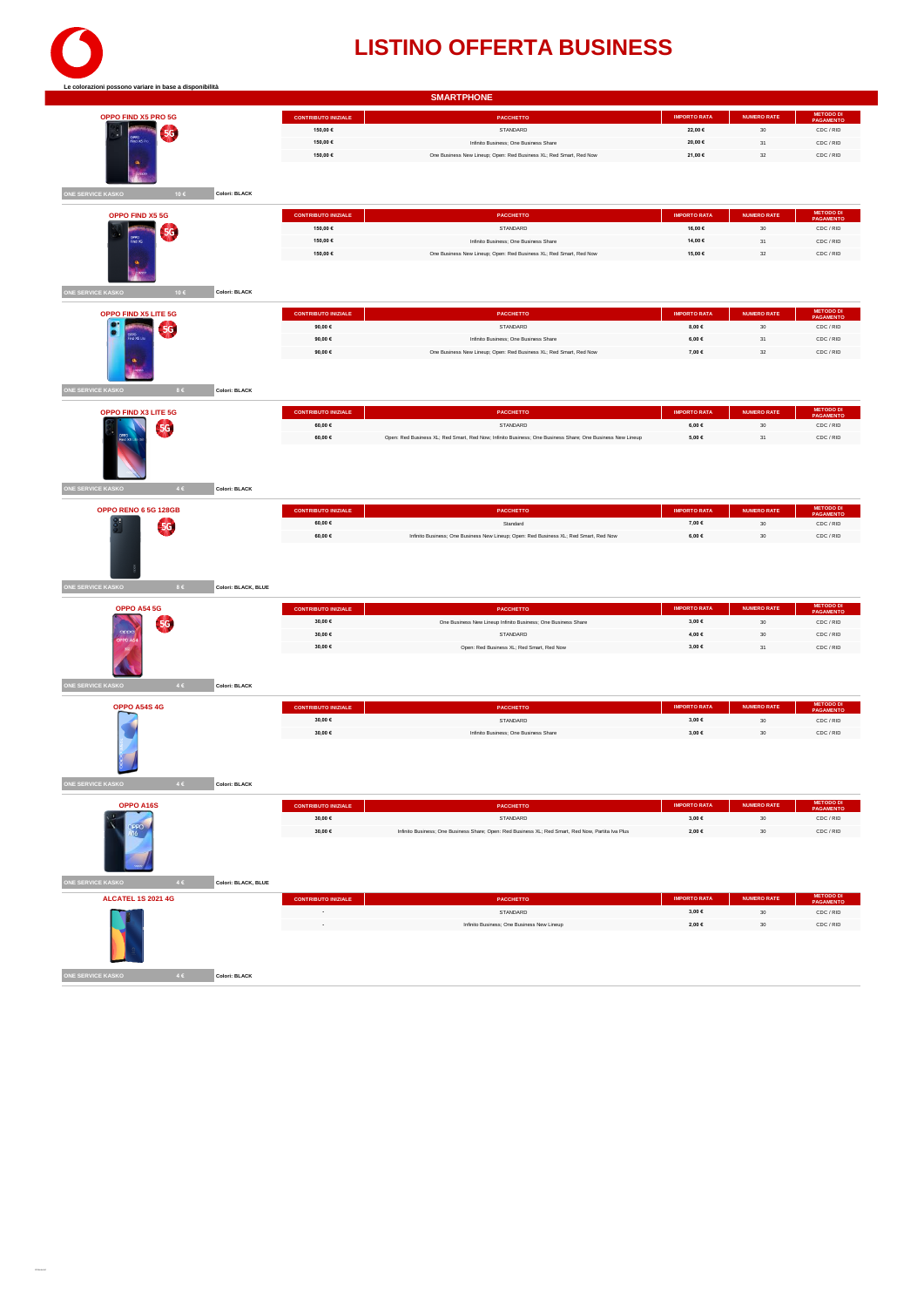

| Le colorazioni possono variare in base a disponibilità      |                            | <b>SMARTPHONE</b>                                                                                         |                        |                    |                               |
|-------------------------------------------------------------|----------------------------|-----------------------------------------------------------------------------------------------------------|------------------------|--------------------|-------------------------------|
| OPPO FIND X5 PRO 5G                                         | <b>CONTRIBUTO INIZIALE</b> | PACCHETTO                                                                                                 | <b>IMPORTO RATA</b>    | <b>NUMERO RATE</b> | <b>METODO DI</b><br>PAGAMENTO |
| 5G.                                                         | 150,00 €                   | STANDARD                                                                                                  | 22,00 €                | $30\,$             | CDC / RID                     |
|                                                             | 150,00 €                   | Infinito Business; One Business Share                                                                     | 20,00 €                | $31\,$             | CDC / RID                     |
|                                                             | 150,00 €                   | One Business New Lineup; Open: Red Business XL; Red Smart, Red Now                                        | 21,00 €                | $_{32}$            | CDC / RID                     |
|                                                             |                            |                                                                                                           |                        |                    |                               |
|                                                             |                            |                                                                                                           |                        |                    |                               |
| ONE SERVICE KASKO<br>10€<br>Colori: BLACK                   |                            |                                                                                                           |                        |                    |                               |
| OPPO FIND X5 5G                                             | <b>CONTRIBUTO INIZIALE</b> | PACCHETTO                                                                                                 | <b>IMPORTO RATA</b>    | <b>NUMERO RATE</b> | <b>METODO DI</b><br>PAGAMENTO |
| 5G                                                          | 150,00 €                   | STANDARD                                                                                                  | 16,00 €                | $_{\rm 30}$        | CDC / RID                     |
|                                                             | 150,00 €                   | Infinito Business; One Business Share                                                                     | 14,00 €                | 31                 | CDC / RID                     |
|                                                             | 150.00 €                   | One Business New Lineup; Open: Red Business XL; Red Smart, Red Now                                        | 15.00 €                | 32                 | CDC / RID                     |
| ۵                                                           |                            |                                                                                                           |                        |                    |                               |
|                                                             |                            |                                                                                                           |                        |                    |                               |
| <b>ONE SERVICE KASKO</b><br>10€<br>Colori: BLACK            |                            |                                                                                                           |                        |                    |                               |
| OPPO FIND X5 LITE 5G                                        | CONTRIBUTO INIZIALE        | PACCHETTO                                                                                                 | <b>IMPORTO RATA</b>    | <b>NUMERO RATE</b> | <b>METODO DI</b><br>PAGAMENTO |
| 5G                                                          | 90,00 $\in$                | STANDARD                                                                                                  | 8,00 $\in$             | $_{30}$            | CDC / RID                     |
|                                                             | 90.00€                     | Infinito Business: One Business Share                                                                     | 6,00 €                 | 31                 | CDC / RID                     |
|                                                             | 90,00 €                    | One Business New Lineup; Open: Red Business XL; Red Smart, Red Now                                        | 7,00 €                 | $_{32}$            | CDC / RID                     |
|                                                             |                            |                                                                                                           |                        |                    |                               |
|                                                             |                            |                                                                                                           |                        |                    |                               |
| ONE SERVICE KASKO<br>86<br>Colori: BLACK                    |                            |                                                                                                           |                        |                    |                               |
| OPPO FIND X3 LITE 5G                                        | <b>CONTRIBUTO INIZIALE</b> | PACCHETTO                                                                                                 | <b>IMPORTO RATA</b>    | <b>NUMERO RATE</b> | <b>METODO DI</b><br>PAGAMENTO |
| 5G                                                          | 60,00 $\in$                | STANDARD                                                                                                  | $6,00 \in$             | 30                 | CDC / RID                     |
|                                                             | 60,00 €                    | Open: Red Business XL; Red Smart, Red Now; Infinito Business; One Business Share; One Business New Lineup | 5,00€                  | $31\,$             | CDC / RID                     |
|                                                             |                            |                                                                                                           |                        |                    |                               |
|                                                             |                            |                                                                                                           |                        |                    |                               |
|                                                             |                            |                                                                                                           |                        |                    |                               |
| <b>ONE SERVICE KASKO</b><br>4 <sup>2</sup><br>Colori: BLACK |                            |                                                                                                           |                        |                    |                               |
| <b>OPPO RENO 6 5G 128GB</b>                                 | <b>CONTRIBUTO INIZIALE</b> | PACCHETTO                                                                                                 | <b>IMPORTO RATA</b>    | <b>NUMERO RATE</b> | <b>METODO DI</b><br>PAGAMENTO |
| <b>5G</b>                                                   | 60,00 €                    | Standard                                                                                                  | 7,00 €                 | 30                 | CDC / RID                     |
|                                                             | 60,00 €                    | Infinito Business; One Business New Lineup; Open: Red Business XL; Red Smart, Red Now                     | $6{,}00 \in$           | $_{\rm 30}$        | CDC / RID                     |
|                                                             |                            |                                                                                                           |                        |                    |                               |
|                                                             |                            |                                                                                                           |                        |                    |                               |
|                                                             |                            |                                                                                                           |                        |                    |                               |
| ONE SERVICE KASKO<br>$8 \in$<br>Colori: BLACK, BLUE         |                            |                                                                                                           |                        |                    |                               |
| <b>OPPO A54 5G</b>                                          | <b>CONTRIBUTO INIZIALE</b> | PACCHETTO                                                                                                 | <b>IMPORTO RATA</b>    | <b>NUMERO RATE</b> | <b>METODO DI</b><br>PAGAMENTO |
| 5G                                                          | 30,00 €                    | One Business New Lineup Infinito Business; One Business Share                                             | 3,00 €                 | $_{\rm 30}$        | CDC / RID                     |
| oppo                                                        | 30,00 €                    | STANDARD                                                                                                  | 4,00 €                 | 30                 | CDC / RID                     |
| PPO <sub>/</sub>                                            | 30,00 €                    | Open: Red Business XL; Red Smart, Red Now                                                                 | 3.00 €                 | $31\,$             | CDC / RID                     |
|                                                             |                            |                                                                                                           |                        |                    |                               |
|                                                             |                            |                                                                                                           |                        |                    |                               |
| ONE SERVICE KASKO<br>4C<br>Colori: BLACK                    |                            |                                                                                                           |                        |                    |                               |
|                                                             |                            |                                                                                                           |                        |                    |                               |
| OPPO A54S 4G                                                | <b>CONTRIBUTO INIZIALE</b> | PACCHETTO<br>STANDARD                                                                                     | <b>IMPORTO RATA</b>    | NUMERO RATE        | <b>METODO DI</b><br>PAGAMENTO |
|                                                             | $30{,}00 \in$<br>30,00 €   | Infinito Business; One Business Share                                                                     | $3{,}00 \in$<br>3.00 € | $_{\rm 30}$<br>30  | CDC / RID<br>CDC / RID        |
|                                                             |                            |                                                                                                           |                        |                    |                               |
|                                                             |                            |                                                                                                           |                        |                    |                               |
|                                                             |                            |                                                                                                           |                        |                    |                               |
| E SERVICE KASKO<br>Colori: BLACK                            |                            |                                                                                                           |                        |                    |                               |
|                                                             |                            |                                                                                                           |                        |                    | <b>METODO DI</b>              |
| OPPO A16S                                                   | <b>CONTRIBUTO INIZIALE</b> | PACCHETTO                                                                                                 | <b>IMPORTO RATA</b>    | <b>NUMERO RATE</b> | PAGAMENTO                     |
|                                                             | 30,00 €                    | STANDARD                                                                                                  | 3,00 $\in$             | 30                 | CDC / RID                     |
|                                                             | 30,00 €                    | Infinito Business; One Business Share; Open: Red Business XL; Red Smart, Red Now, Partita Iva Plus        | $2{,}00 \in$           | $_{\rm 30}$        | CDC / RID                     |
|                                                             |                            |                                                                                                           |                        |                    |                               |
|                                                             |                            |                                                                                                           |                        |                    |                               |
| ONE SERVICE KASKO<br>${\bf 4}\in$<br>Colori: BLACK, BLUE    |                            |                                                                                                           |                        |                    |                               |
|                                                             |                            |                                                                                                           |                        |                    |                               |
| <b>ALCATEL 1S 2021 4G</b>                                   | <b>CONTRIBUTO INIZIALE</b> | PACCHETTO                                                                                                 | <b>IMPORTO RATA</b>    | <b>NUMERO RATE</b> | <b>METODO D<br/>PAGAMENT</b>  |
|                                                             | $\overline{\phantom{a}}$   | STANDARD                                                                                                  | 3,00 $\in$             | $_{\rm 30}$        | CDC / RID                     |
|                                                             |                            | Infinito Business; One Business New Lineup                                                                | 2,00 €                 | $_{30}$            | CDC / RID                     |
|                                                             |                            |                                                                                                           |                        |                    |                               |
|                                                             |                            |                                                                                                           |                        |                    |                               |
| Colori: BLACK<br>ONE SERVICE KASKO<br>$4 \in$               |                            |                                                                                                           |                        |                    |                               |
|                                                             |                            |                                                                                                           |                        |                    |                               |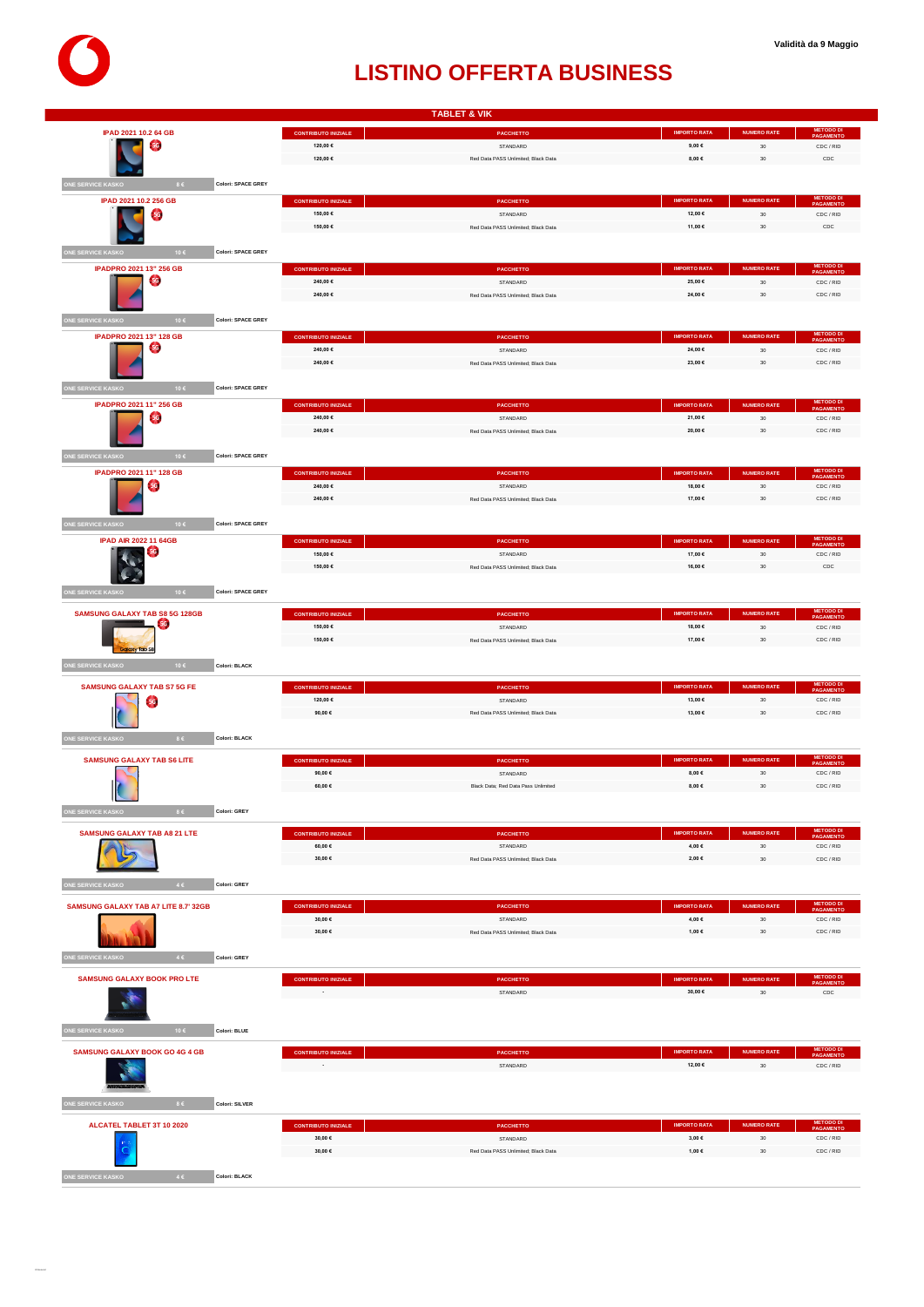

|                                                                                                                                                                                                            |                                        | <b>TABLET &amp; VIK</b>                         |                                |                              |                                            |
|------------------------------------------------------------------------------------------------------------------------------------------------------------------------------------------------------------|----------------------------------------|-------------------------------------------------|--------------------------------|------------------------------|--------------------------------------------|
| IPAD 2021 10.2 64 GB                                                                                                                                                                                       | <b>CONTRIBUTO INIZIALE</b>             | <b>PACCHETTO</b>                                | <b>IMPORTO RATA</b>            | <b>NUMERO RATE</b>           | <b>METODO DI</b><br>PAGAMENTO              |
| <b>5G</b>                                                                                                                                                                                                  | 120,00 €                               | STANDARD                                        | $9,00 \in$                     | $30\,$                       | CDC / RID                                  |
|                                                                                                                                                                                                            | 120,00 €                               | Red Data PASS Unlimited; Black Data             | 8,00€                          | 30                           | CDC                                        |
| ONE SERVICE KASKO<br>8 <sup>2</sup><br>Colori: SPACE GREY                                                                                                                                                  |                                        |                                                 |                                |                              |                                            |
| IPAD 2021 10.2 256 GB                                                                                                                                                                                      | <b>CONTRIBUTO INIZIALE</b>             | PACCHETTO                                       | <b>IMPORTO RATA</b>            | <b>NUMERO RATE</b>           | METODO DI<br>PAGAMENTO                     |
| 5G)                                                                                                                                                                                                        | 150,00 €                               | STANDARD                                        | 12,00 €                        | $30\,$                       | CDC / RID                                  |
|                                                                                                                                                                                                            | 150,00 €                               | Red Data PASS Unlimited; Black Data             | 11,00 €                        | 30                           | CDC                                        |
|                                                                                                                                                                                                            |                                        |                                                 |                                |                              |                                            |
| Colori: SPACE GREY<br>NE SERVICE KASKO<br>10€                                                                                                                                                              |                                        |                                                 |                                |                              |                                            |
| IPADPRO 2021 13" 256 GB<br>56)                                                                                                                                                                             | <b>CONTRIBUTO INIZIALE</b><br>240,00 € | PACCHETTO<br>STANDARD                           | <b>IMPORTO RATA</b><br>25,00 € | <b>NUMERO RATE</b><br>$30\,$ | <b>METODO D<br/>PAGAMENT</b><br>CDC / RID  |
|                                                                                                                                                                                                            | 240,00 €                               | Red Data PASS Unlimited; Black Data             | 24,00 €                        | $30\,$                       | CDC / RID                                  |
|                                                                                                                                                                                                            |                                        |                                                 |                                |                              |                                            |
| ONE SERVICE KASKO<br><b>Colori: SPACE GREY</b><br>10€                                                                                                                                                      |                                        |                                                 |                                |                              |                                            |
| IPADPRO 2021 13" 128 GB                                                                                                                                                                                    | <b>CONTRIBUTO INIZIALE</b>             | <b>PACCHETTO</b>                                | <b>IMPORTO RATA</b>            | <b>NUMERO RATE</b>           | <b>METODO DI</b><br>PAGAMENTO              |
| <b>5G</b>                                                                                                                                                                                                  | 240,00 €                               | STANDARD                                        | 24,00 €                        | 30 <sup>°</sup>              | CDC / RID                                  |
|                                                                                                                                                                                                            | 240,00 €                               | Red Data PASS Unlimited; Black Data             | 23,00 €                        | $_{\rm 30}$                  | CDC / RID                                  |
| ONE SERVICE KASKO<br><b>Colori: SPACE GREY</b><br>10€                                                                                                                                                      |                                        |                                                 |                                |                              |                                            |
| IPADPRO 2021 11" 256 GB                                                                                                                                                                                    | <b>CONTRIBUTO INIZIALE</b>             | <b>PACCHETTO</b>                                | <b>IMPORTO RATA</b>            | <b>NUMERO RATE</b>           | METODO D<br><b>IFNT</b>                    |
| <b>5G</b>                                                                                                                                                                                                  | 240,00 €                               | STANDARD                                        | 21,00 €                        | $_{\rm 30}$                  | CDC / RID                                  |
|                                                                                                                                                                                                            | 240,00 €                               | Red Data PASS Unlimited; Black Data             | 20,00 $\in$                    | 30                           | CDC / RID                                  |
| <b>E SERVICE KASKO</b><br><b>Colori: SPACE GREY</b><br>10€                                                                                                                                                 |                                        |                                                 |                                |                              |                                            |
| IPADPRO 2021 11" 128 GB                                                                                                                                                                                    | <b>CONTRIBUTO INIZIALE</b>             | <b>PACCHETTO</b>                                | <b>IMPORTO RATA</b>            | <b>NUMERO RATE</b>           | METODO D                                   |
| 56)                                                                                                                                                                                                        | 240,00 €                               | STANDARD                                        | 18,00 €                        | $30\,$                       | CDC / RID                                  |
|                                                                                                                                                                                                            | 240,00 €                               | Red Data PASS Unlimited: Black Data             | 17,00 €                        | 30                           | CDC / RID                                  |
|                                                                                                                                                                                                            |                                        |                                                 |                                |                              |                                            |
| ONE SERVICE KASKO<br>10€<br><b>Colori: SPACE GREY</b>                                                                                                                                                      |                                        |                                                 |                                |                              |                                            |
| <b>IPAD AIR 2022 11 64GB</b>                                                                                                                                                                               | <b>CONTRIBUTO INIZIALE</b>             | PACCHETTO                                       | <b>IMPORTO RATA</b>            | <b>NUMERO RATE</b>           | METODO D<br>PAGAMENT                       |
|                                                                                                                                                                                                            | 150,00 €<br>150,00 €                   | STANDARD<br>Red Data PASS Unlimited; Black Data | 17,00 €<br>16,00 €             | $30\,$<br>$30\,$             | CDC / RID<br>CDC                           |
|                                                                                                                                                                                                            |                                        |                                                 |                                |                              |                                            |
| ONE SERVICE KASKO<br><b>Colori: SPACE GREY</b><br>10€                                                                                                                                                      |                                        |                                                 |                                |                              |                                            |
| <b>SAMSUNG GALAXY TAB S8 5G 128GB</b>                                                                                                                                                                      | <b>CONTRIBUTO INIZIALE</b>             | <b>PACCHETTO</b>                                | <b>IMPORTO RATA</b>            | <b>NUMERO RATE</b>           | METODO D                                   |
|                                                                                                                                                                                                            |                                        |                                                 |                                |                              | <b>PAGAMENT</b>                            |
|                                                                                                                                                                                                            | 150,00 €                               | STANDARD                                        | 18,00 €                        | 30                           | CDC / RID                                  |
|                                                                                                                                                                                                            | 150,00 €                               | Red Data PASS Unlimited; Black Data             | 17,00 €                        | 30                           | CDC / RID                                  |
| tion y Tob S                                                                                                                                                                                               |                                        |                                                 |                                |                              |                                            |
| ONE SERVICE KASKO<br>10€<br>Colori: BLACK                                                                                                                                                                  |                                        |                                                 |                                |                              |                                            |
| <b>SAMSUNG GALAXY TAB S7 5G FE</b>                                                                                                                                                                         | <b>CONTRIBUTO INIZIALE</b>             | <b>PACCHETTO</b>                                | <b>IMPORTO RATA</b>            | <b>NUMERO RATE</b>           | METODO D<br>PAGAMENTO                      |
| <b>5G</b>                                                                                                                                                                                                  | 120,00 €                               | STANDARD                                        | 13,00 €                        | $_{\rm 30}$                  | CDC / RID                                  |
|                                                                                                                                                                                                            | 90,00 €                                | Red Data PASS Unlimited; Black Data             | 13,00 €                        | 30                           | CDC / RID                                  |
| 86<br>Colori: BLACK                                                                                                                                                                                        |                                        |                                                 |                                |                              |                                            |
|                                                                                                                                                                                                            |                                        |                                                 | <b>IMPORTO RATA</b>            | <b>NUMERO RATE</b>           |                                            |
| <b>SAMSUNG GALAXY TAB S6 LITE</b>                                                                                                                                                                          | <b>CONTRIBUTO INIZIALE</b><br>90,00 €  | <b>PACCHETTO</b><br>STANDARD                    | 8,00 €                         | $30\,$                       | <b>METODO DI</b><br>PAGAMENTO<br>CDC / RID |
|                                                                                                                                                                                                            | 60,00 €                                | Black Data; Red Data Pass Unlimited             | 8,00 €                         | $_{\rm 30}$                  | CDC / RID                                  |
|                                                                                                                                                                                                            |                                        |                                                 |                                |                              |                                            |
| <b>Colori: GREY</b><br>$8\in$                                                                                                                                                                              |                                        |                                                 |                                |                              |                                            |
| <b>SAMSUNG GALAXY TAB A8 21 LTE</b>                                                                                                                                                                        | <b>CONTRIBUTO INIZIALE</b>             | <b>PACCHETTO</b>                                | <b>IMPORTO RATA</b>            | <b>NUMERO RATE</b>           | METODO D<br><b>PAGAMENT</b>                |
|                                                                                                                                                                                                            | 60,00 €                                | STANDARD                                        | 4,00 €                         | $30\,$                       | CDC / RID                                  |
|                                                                                                                                                                                                            | 30,00 €                                | Red Data PASS Unlimited; Black Data             | 2,00 €                         | $_{\rm 30}$                  | CDC / RID                                  |
| 4C<br>Colori: GREY                                                                                                                                                                                         |                                        |                                                 |                                |                              |                                            |
|                                                                                                                                                                                                            |                                        |                                                 |                                |                              | <b>METODO D</b>                            |
|                                                                                                                                                                                                            | <b>CONTRIBUTO INIZIALE</b>             | <b>PACCHETTO</b>                                | <b>IMPORTO RATA</b>            | <b>NUMERO RATE</b>           | PAGAMENT                                   |
|                                                                                                                                                                                                            | 30,00 €<br>30,00 €                     | STANDARD<br>Red Data PASS Unlimited; Black Data | 4,00 €<br>1,00 €               | $_{\rm 30}$<br>30            | CDC / RID<br>CDC / RID                     |
|                                                                                                                                                                                                            |                                        |                                                 |                                |                              |                                            |
| 4C<br>Colori: GREY                                                                                                                                                                                         |                                        |                                                 |                                |                              |                                            |
| <b>SAMSUNG GALAXY BOOK PRO LTE</b>                                                                                                                                                                         | <b>CONTRIBUTO INIZIALE</b>             | PACCHETTO                                       | <b>IMPORTO RATA</b>            | <b>NUMERO RATE</b>           | <b>METODO D<br/>PAGAMENT</b>               |
|                                                                                                                                                                                                            |                                        | STANDARD                                        | 30,00 €                        | 30                           | CDC                                        |
|                                                                                                                                                                                                            |                                        |                                                 |                                |                              |                                            |
| 10€<br>Colori: BLUE                                                                                                                                                                                        |                                        |                                                 |                                |                              |                                            |
|                                                                                                                                                                                                            |                                        |                                                 |                                |                              |                                            |
|                                                                                                                                                                                                            | <b>CONTRIBUTO INIZIALE</b>             | <b>PACCHETTO</b>                                | <b>IMPORTO RATA</b>            | <b>NUMERO RATE</b>           | <b>METODO D</b><br><b>PAGAMENTO</b>        |
| ONE SERVICE KASKO<br>ONE SERVICE KASKO<br><b>NE SERVICE KASKO</b><br><b>SAMSUNG GALAXY TAB A7 LITE 8.7' 32GB</b><br><b>ONE SERVICE KASKO</b><br>ONE SERVICE KASKO<br><b>SAMSUNG GALAXY BOOK GO 4G 4 GB</b> |                                        | STANDARD                                        | 12,00 €                        | $_{\rm 30}$                  | CDC / RID                                  |
|                                                                                                                                                                                                            |                                        |                                                 |                                |                              |                                            |
| NE SERVICE KASKO<br>$8 \in$<br>Colori: SILVER                                                                                                                                                              |                                        |                                                 |                                |                              |                                            |
|                                                                                                                                                                                                            |                                        |                                                 | <b>IMPORTO RATA</b>            | NUMERO RATE                  |                                            |
| ALCATEL TABLET 3T 10 2020                                                                                                                                                                                  | <b>CONTRIBUTO INIZIALE</b><br>30,00 €  | PACCHETTO<br>STANDARD                           | $3{,}00 \in$                   | $30\,$                       | <b>METODO I</b><br>PAGAMENT<br>CDC / RID   |
|                                                                                                                                                                                                            | 30,00 €                                | Red Data PASS Unlimited; Black Data             | 1,00 €                         | $30\,$                       | CDC / RID                                  |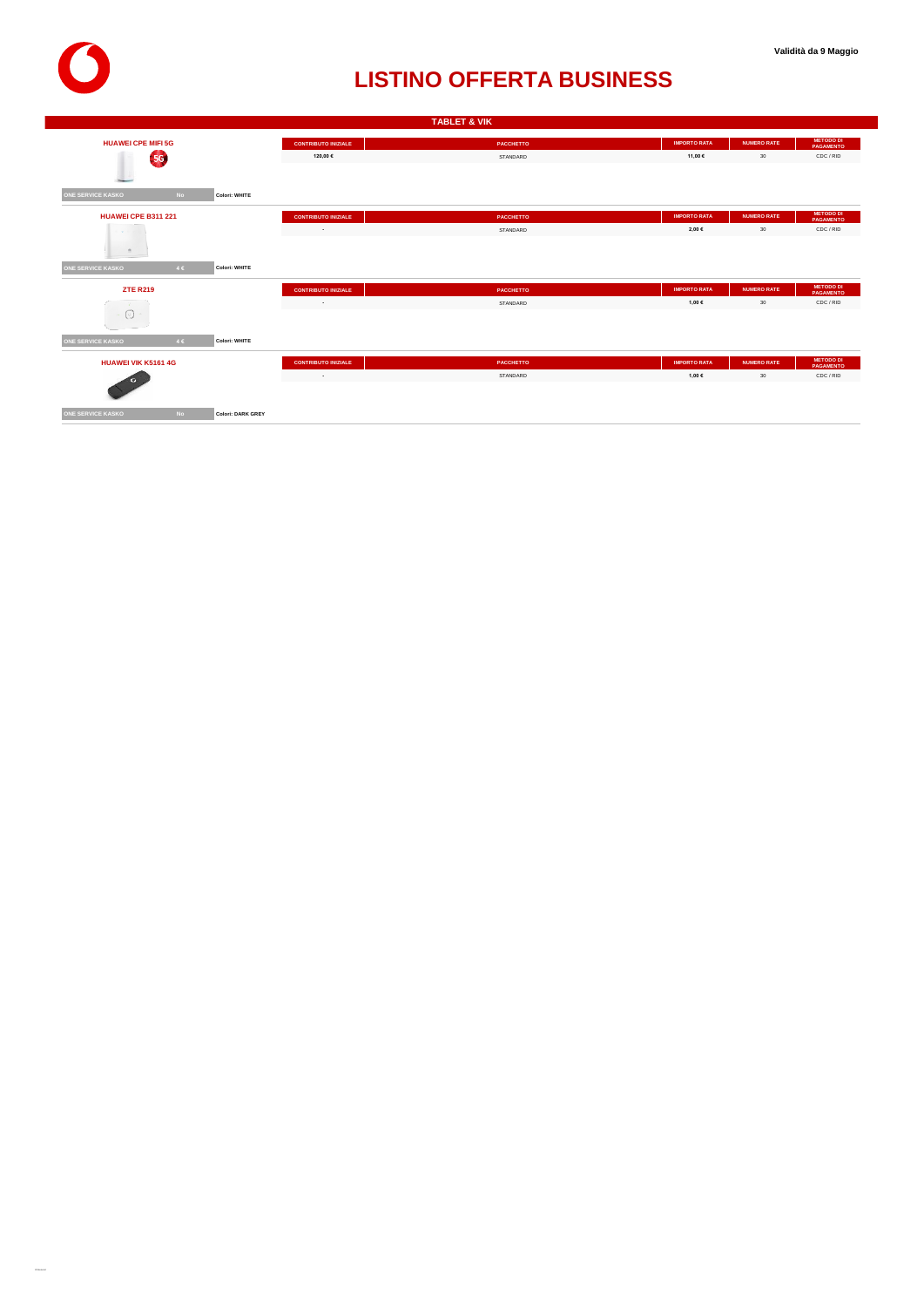

|                            |           |                   |                                   | <b>TABLET &amp; VIK</b> |                     |                    |                                      |
|----------------------------|-----------|-------------------|-----------------------------------|-------------------------|---------------------|--------------------|--------------------------------------|
| <b>HUAWEI CPE MIFI 5G</b>  |           |                   | <b>CONTRIBUTO INIZIALE</b>        | PACCHETTO               | <b>IMPORTO RATA</b> | <b>NUMERO RATE</b> | <b>METODO DI</b><br><b>PAGAMENTO</b> |
| 59                         |           |                   | 120,00 €                          | STANDARD                | 11,00 €             | 30                 | CDC / RID                            |
|                            |           |                   |                                   |                         |                     |                    |                                      |
|                            |           |                   |                                   |                         |                     |                    |                                      |
| <b>ONE SERVICE KASKO</b>   | <b>No</b> | Colori: WHITE     |                                   |                         |                     |                    |                                      |
| <b>HUAWEI CPE B311 221</b> |           |                   | <b>CONTRIBUTO INIZIALE</b>        | PACCHETTO               | <b>IMPORTO RATA</b> | <b>NUMERO RATE</b> | <b>METODO DI</b><br><b>PAGAMENTO</b> |
| .                          |           |                   | the control of the control of the | STANDARD                | 2,00 €              | 30                 | CDC / RID                            |
| $\mathfrak{m}$             |           |                   |                                   |                         |                     |                    |                                      |
|                            |           |                   |                                   |                         |                     |                    |                                      |
| <b>ONE SERVICE KASKO</b>   | 4E        | Colori: WHITE     |                                   |                         |                     |                    |                                      |
| <b>ZTE R219</b>            |           |                   | <b>CONTRIBUTO INIZIALE</b>        | PACCHETTO               | <b>IMPORTO RATA</b> | <b>NUMERO RATE</b> | <b>METODO DI</b><br><b>PAGAMENTO</b> |
|                            |           |                   | <b>Contract Contract</b>          | STANDARD                | 1,00 €              | 30                 | CDC / RID                            |
| $\left[ \circ \right]$     |           |                   |                                   |                         |                     |                    |                                      |
|                            |           |                   |                                   |                         |                     |                    |                                      |
| <b>ONE SERVICE KASKO</b>   | 4C        | Colori: WHITE     |                                   |                         |                     |                    |                                      |
| <b>HUAWEI VIK K5161 4G</b> |           |                   | <b>CONTRIBUTO INIZIALE</b>        | <b>PACCHETTO</b>        | <b>IMPORTO RATA</b> | <b>NUMERO RATE</b> | <b>METODO DI</b><br><b>PAGAMENTO</b> |
|                            |           |                   | the company of the company        | STANDARD                | 1,00 €              | 30                 | CDC / RID                            |
|                            |           |                   |                                   |                         |                     |                    |                                      |
|                            |           |                   |                                   |                         |                     |                    |                                      |
| <b>ONE SERVICE KASKO</b>   | <b>No</b> | Colori: DARK GREY |                                   |                         |                     |                    |                                      |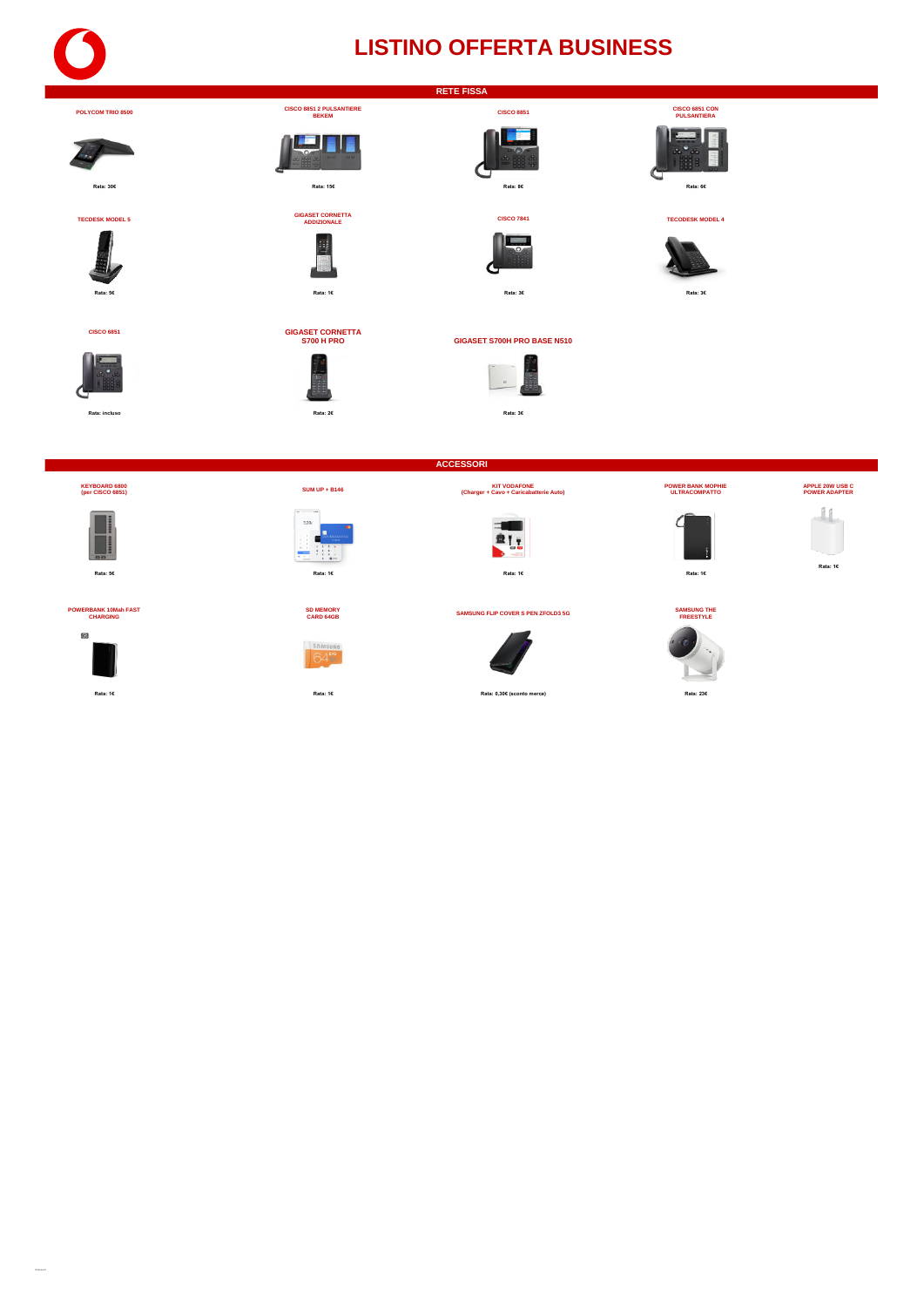#### **RETE FISSA**

**POLYCOM TRIO 8500 CISCO 8851 2 PULSANTIERE BEKEM**

**CISCO 6851 GIGASET CORNETTA** 











**Rata: 5€ Rata: 1€ Rata: 3€ Rata: 3€**

**S700 H PRO GIGASET S700H PRO BASE N510**



 $\begin{array}{c} \hline \ \hline \circ \end{array}$ 



**TECDESK MODEL 5** 





#### **POWERBANK 10Mah FAST CHARGING**





**GIGASET CORNETTA ADDIZIONALE**

E.

<u>La Fin</u>











**ACCESSORI**











**APPLE 20W USB C POWER ADAPTER**

### **Rata: 1€**

**CAMSUNG FLIP COVER S PEN ZFOLD3 5G**